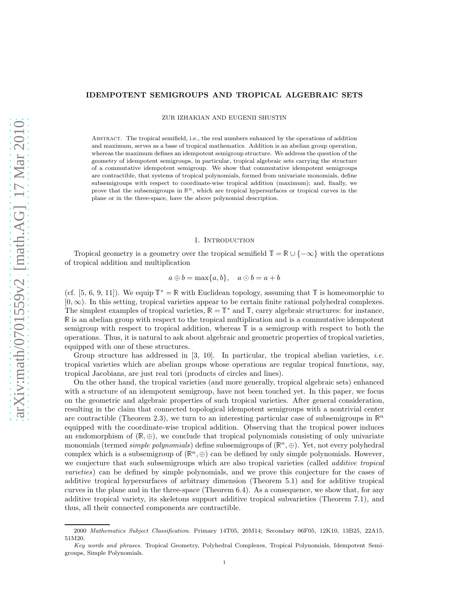#### IDEMPOTENT SEMIGROUPS AND TROPICAL ALGEBRAIC SETS

ZUR IZHAKIAN AND EUGENII SHUSTIN

Abstract. The tropical semifield, i.e., the real numbers enhanced by the operations of addition and maximum, serves as a base of tropical mathematics. Addition is an abelian group operation, whereas the maximum defines an idempotent semigroup structure. We address the question of the geometry of idempotent semigroups, in particular, tropical algebraic sets carrying the structure of a commutative idempotent semigroup. We show that commutative idempotent semigroups are contractible, that systems of tropical polynomials, formed from univariate monomials, define subsemigroups with respect to coordinate-wise tropical addition (maximum); and, finally, we prove that the subsemigroups in  $\mathbb{R}^n$ , which are tropical hypersurfaces or tropical curves in the plane or in the three-space, have the above polynomial description.

#### 1. Introduction

Tropical geometry is a geometry over the tropical semifield  $\mathbb{T} = \mathbb{R} \cup \{-\infty\}$  with the operations of tropical addition and multiplication

$$
a \oplus b = \max\{a, b\}, \quad a \odot b = a + b
$$

(cf. [5, 6, 9, 11]). We equip  $\mathbb{T}^* = \mathbb{R}$  with Euclidean topology, assuming that  $\mathbb{T}$  is homeomorphic to  $[0, \infty)$ . In this setting, tropical varieties appear to be certain finite rational polyhedral complexes. The simplest examples of tropical varieties,  $\mathbb{R} = \mathbb{T}^*$  and  $\mathbb{T}$ , carry algebraic structures: for instance, <sup>R</sup> is an abelian group with respect to the tropical multiplication and is a commutative idempotent semigroup with respect to tropical addition, whereas <sup>T</sup> is a semigroup with respect to both the operations. Thus, it is natural to ask about algebraic and geometric properties of tropical varieties, equipped with one of these structures.

Group structure has addressed in  $[3, 10]$ . In particular, the tropical abelian varieties, *i.e.* tropical varieties which are abelian groups whose operations are regular tropical functions, say, tropical Jacobians, are just real tori (products of circles and lines).

On the other hand, the tropical varieties (and more generally, tropical algebraic sets) enhanced with a structure of an idempotent semigroup, have not been touched yet. In this paper, we focus on the geometric and algebraic properties of such tropical varieties. After general consideration, resulting in the claim that connected topological idempotent semigroups with a nontrivial center are contractible (Theorem 2.3), we turn to an interesting particular case of subsemigroups in  $\mathbb{R}^n$ equipped with the coordinate-wise tropical addition. Observing that the tropical power induces an endomorphism of  $(\mathbb{R}, \oplus)$ , we conclude that tropical polynomials consisting of only univariate monomials (termed *simple polynomials*) define subsemigroups of  $(\mathbb{R}^n, \oplus)$ . Yet, not every polyhedral complex which is a subsemigroup of  $(\mathbb{R}^n, \oplus)$  can be defined by only simple polynomials. However, we conjecture that such subsemigroups which are also tropical varieties (called *additive tropical* varieties) can be defined by simple polynomials, and we prove this conjecture for the cases of additive tropical hypersurfaces of arbitrary dimension (Theorem 5.1) and for additive tropical curves in the plane and in the three-space (Theorem 6.4). As a consequence, we show that, for any additive tropical variety, its skeletons support additive tropical subvarieties (Theorem 7.1), and thus, all their connected components are contractible.

<sup>2000</sup> Mathematics Subject Classification. Primary 14T05, 20M14; Secondary 06F05, 12K10, 13B25, 22A15, 51M20.

Key words and phrases. Tropical Geometry, Polyhedral Complexes, Tropical Polynomials, Idempotent Semigroups, Simple Polynomials.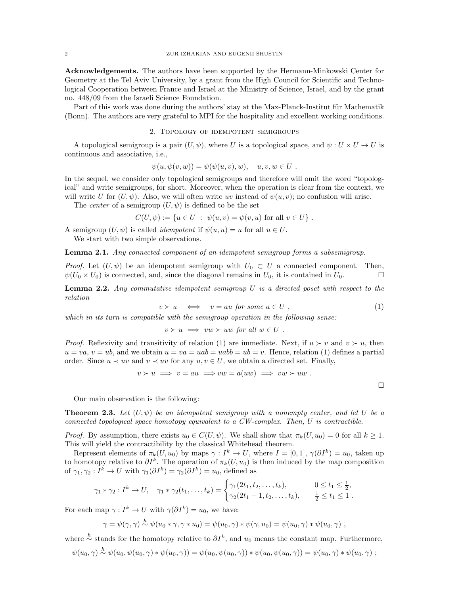Acknowledgements. The authors have been supported by the Hermann-Minkowski Center for Geometry at the Tel Aviv University, by a grant from the High Council for Scientific and Technological Cooperation between France and Israel at the Ministry of Science, Israel, and by the grant no. 448/09 from the Israeli Science Foundation.

Part of this work was done during the authors' stay at the Max-Planck-Institut für Mathematik (Bonn). The authors are very grateful to MPI for the hospitality and excellent working conditions.

# 2. Topology of idempotent semigroups

A topological semigroup is a pair  $(U, \psi)$ , where U is a topological space, and  $\psi : U \times U \to U$  is continuous and associative, i.e.,

$$
\psi(u, \psi(v, w)) = \psi(\psi(u, v), w), \quad u, v, w \in U.
$$

In the sequel, we consider only topological semigroups and therefore will omit the word "topological" and write semigroups, for short. Moreover, when the operation is clear from the context, we will write U for  $(U, \psi)$ . Also, we will often write uv instead of  $\psi(u, v)$ ; no confusion will arise.

The *center* of a semigroup  $(U, \psi)$  is defined to be the set

$$
C(U, \psi) := \{ u \in U : \psi(u, v) = \psi(v, u) \text{ for all } v \in U \} .
$$

A semigroup  $(U, \psi)$  is called *idempotent* if  $\psi(u, u) = u$  for all  $u \in U$ .

We start with two simple observations.

Lemma 2.1. Any connected component of an idempotent semigroup forms a subsemigroup.

*Proof.* Let  $(U, \psi)$  be an idempotent semigroup with  $U_0 \subset U$  a connected component. Then,  $\psi(U_0 \times U_0)$  is connected, and, since the diagonal remains in  $U_0$ , it is contained in  $U_0$ .

**Lemma 2.2.** Any commutative idempotent semigroup  $U$  is a directed poset with respect to the relation

$$
v \succ u \quad \Longleftrightarrow \quad v = au \text{ for some } a \in U , \tag{1}
$$

which in its turn is compatible with the semigroup operation in the following sense:

$$
v \succ u \implies vw \succ uw \text{ for all } w \in U .
$$

*Proof.* Reflexivity and transitivity of relation (1) are immediate. Next, if  $u > v$  and  $v > u$ , then  $u = va, v = ub$ , and we obtain  $u = va = uab = uabb = ub = v$ . Hence, relation (1) defines a partial order. Since  $u \prec uv$  and  $v \prec uv$  for any  $u, v \in U$ , we obtain a directed set. Finally,

$$
v \succ u \implies v = au \implies vw = a(uw) \implies vw \succ uw.
$$

 $\Box$ 

Our main observation is the following:

**Theorem 2.3.** Let  $(U, \psi)$  be an idempotent semigroup with a nonempty center, and let U be a connected topological space homotopy equivalent to a CW-complex. Then, U is contractible.

*Proof.* By assumption, there exists  $u_0 \in C(U, \psi)$ . We shall show that  $\pi_k(U, u_0) = 0$  for all  $k > 1$ . This will yield the contractibility by the classical Whitehead theorem.

Represent elements of  $\pi_k(U, u_0)$  by maps  $\gamma : I^k \to U$ , where  $I = [0, 1], \gamma(\partial I^k) = u_0$ , taken up to homotopy relative to  $\partial I^k$ . The operation of  $\pi_k(U, u_0)$  is then induced by the map composition of  $\gamma_1, \gamma_2: I^k \to U$  with  $\gamma_1(\partial I^k) = \gamma_2(\partial I^k) = u_0$ , defined as

$$
\gamma_1 * \gamma_2 : I^k \to U, \quad \gamma_1 * \gamma_2(t_1, \dots, t_k) = \begin{cases} \gamma_1(2t_1, t_2, \dots, t_k), & 0 \le t_1 \le \frac{1}{2}, \\ \gamma_2(2t_1 - 1, t_2, \dots, t_k), & \frac{1}{2} \le t_1 \le 1. \end{cases}
$$

For each map  $\gamma: I^k \to U$  with  $\gamma(\partial I^k) = u_0$ , we have:

$$
\gamma = \psi(\gamma, \gamma) \stackrel{h}{\sim} \psi(u_0 * \gamma, \gamma * u_0) = \psi(u_0, \gamma) * \psi(\gamma, u_0) = \psi(u_0, \gamma) * \psi(u_0, \gamma) ,
$$

where  $\stackrel{h}{\sim}$  stands for the homotopy relative to  $\partial I^k$ , and  $u_0$  means the constant map. Furthermore,

$$
\psi(u_0, \gamma) \stackrel{h}{\sim} \psi(u_0, \psi(u_0, \gamma) * \psi(u_0, \gamma)) = \psi(u_0, \psi(u_0, \gamma)) * \psi(u_0, \psi(u_0, \gamma)) = \psi(u_0, \gamma) * \psi(u_0, \gamma) ;
$$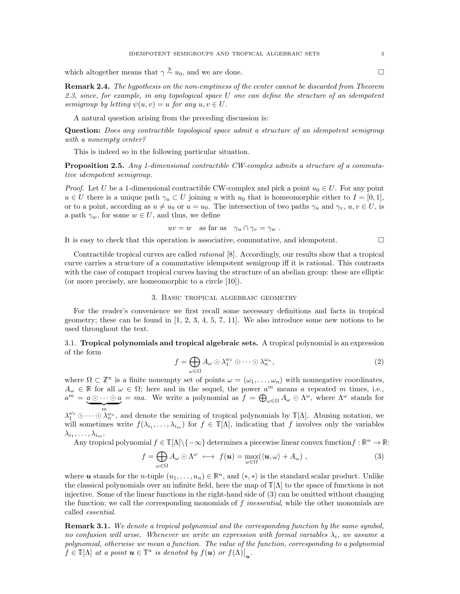which altogether means that  $\gamma \stackrel{h}{\sim} u_0$ , and we are done.

Remark 2.4. The hypothesis on the non-emptiness of the center cannot be discarded from Theorem 2.3, since, for example, in any topological space U one can define the structure of an idempotent semigroup by letting  $\psi(u, v) = u$  for any  $u, v \in U$ .

A natural question arising from the preceding discussion is:

Question: Does any contractible topological space admit a structure of an idempotent semigroup with a nonempty center?

This is indeed so in the following particular situation.

Proposition 2.5. Any 1-dimensional contractible CW-complex admits a structure of a commutative idempotent semigroup.

*Proof.* Let U be a 1-dimensional contractible CW-complex and pick a point  $u_0 \in U$ . For any point  $u \in U$  there is a unique path  $\gamma_u \subset U$  joining u with  $u_0$  that is homeomorphic either to  $I = [0, 1],$ or to a point, according as  $u \neq u_0$  or  $u = u_0$ . The intersection of two paths  $\gamma_u$  and  $\gamma_v, u, v \in U$ , is a path  $\gamma_w$ , for some  $w \in U$ , and thus, we define

$$
uv = w
$$
 as far as  $\gamma_u \cap \gamma_v = \gamma_w$ .

It is easy to check that this operation is associative, commutative, and idempotent.

Contractible tropical curves are called rational [8]. Accordingly, our results show that a tropical curve carries a structure of a commutative idempotent semigroup iff it is rational. This contrasts with the case of compact tropical curves having the structure of an abelian group: these are elliptic (or more precisely, are homeomorphic to a circle [10]).

# 3. Basic tropical algebraic geometry

For the reader's convenience we first recall some necessary definitions and facts in tropical geometry; these can be found in  $[1, 2, 3, 4, 5, 7, 11]$ . We also introduce some new notions to be used throughout the text.

3.1. Tropical polynomials and tropical algebraic sets. A tropical polynomial is an expression of the form

$$
f = \bigoplus_{\omega \in \Omega} A_{\omega} \odot \lambda_1^{\omega_1} \odot \cdots \odot \lambda_n^{\omega_n}, \tag{2}
$$

where  $\Omega \subset \mathbb{Z}^n$  is a finite nonempty set of points  $\omega = (\omega_1, \dots, \omega_n)$  with nonnegative coordinates,  $A_{\omega} \in \mathbb{R}$  for all  $\omega \in \Omega$ ; here and in the sequel, the power  $a^m$  means a repeated m times, i.e.,  $a^m = a \odot \cdots \odot a$  $\overbrace{ }^{m}$ = ma. We write a polynomial as  $f = \bigoplus_{\omega \in \Omega} A_{\omega} \odot \Lambda^{\omega}$ , where  $\Lambda^{\omega}$  stands for

 $\lambda_1^{\omega_1} \odot \cdots \odot \lambda_n^{\omega_n}$ , and denote the semiring of tropical polynomials by  $\mathbb{T}[\Lambda]$ . Abusing notation, we will sometimes write  $f(\lambda_{i_1},\ldots,\lambda_{i_m})$  for  $f \in \mathbb{T}[\Lambda]$ , indicating that f involves only the variables  $\lambda_{i_1},\ldots,\lambda_{i_m}.$ 

Any tropical polynomial  $f \in \mathbb{T}[\Lambda] \setminus \{-\infty\}$  determines a piecewise linear convex function  $f : \mathbb{R}^n \to \mathbb{R}$ :

$$
f = \bigoplus_{\omega \in \Omega} A_{\omega} \odot \Lambda^{\omega} \longrightarrow f(\mathbf{u}) = \max_{\omega \in \Omega} (\langle \mathbf{u}, \omega \rangle + A_{\omega}), \tag{3}
$$

where u stands for the n-tuple  $(u_1, \ldots, u_n) \in \mathbb{R}^n$ , and  $\langle *, * \rangle$  is the standard scalar product. Unlike the classical polynomials over an infinite field, here the map of  $\mathbb{T}[\Lambda]$  to the space of functions is not injective. Some of the linear functions in the right-hand side of (3) can be omitted without changing the function; we call the corresponding monomials of  $f$  inessential, while the other monomials are called essential.

**Remark 3.1.** We denote a tropical polynomial and the corresponding function by the same symbol, no confusion will arise. Whenever we write an expression with formal variables  $\lambda_i$ , we assume a polynomial, otherwise we mean a function. The value of the function, corresponding to a polynomial  $f \in \mathbb{T}[\Lambda]$  at a point  $\boldsymbol{u} \in \mathbb{T}^n$  is denoted by  $f(\boldsymbol{u})$  or  $f(\Lambda)|_{\boldsymbol{u}}$ .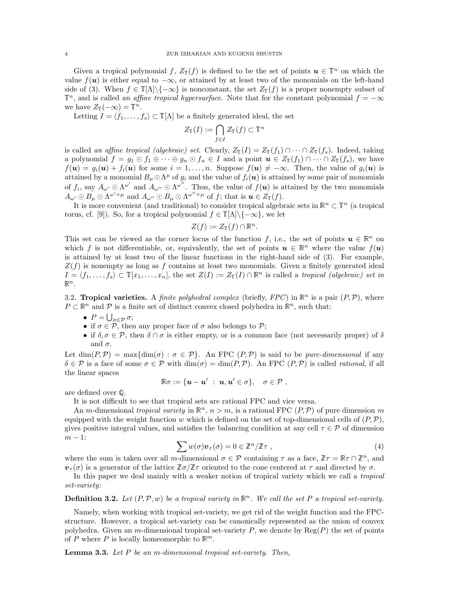Given a tropical polynomial f,  $Z_{\mathbb{T}}(f)$  is defined to be the set of points  $u \in \mathbb{T}^n$  on which the value  $f(u)$  is either equal to  $-\infty$ , or attained by at least two of the monomials on the left-hand side of (3). When  $f \in \mathbb{T}[\Lambda]\setminus\{-\infty\}$  is nonconstant, the set  $Z_{\mathbb{T}}(f)$  is a proper nonempty subset of  $\mathbb{T}^n$ , and is called an affine tropical hypersurface. Note that for the constant polynomial  $f = -\infty$ we have  $Z_{\mathbb{T}}(-\infty) = \mathbb{T}^n$ .

Letting  $I = \langle f_1, \ldots, f_s \rangle \subset \mathbb{T}[\Lambda]$  be a finitely generated ideal, the set

$$
Z_{\mathbb{T}}(I) := \bigcap_{f \in I} Z_{\mathbb{T}}(f) \subset \mathbb{T}^n
$$

is called an affine tropical (algebraic) set. Clearly,  $Z_{\mathbb{T}}(I) = Z_{\mathbb{T}}(f_1) \cap \cdots \cap Z_{\mathbb{T}}(f_s)$ . Indeed, taking a polynomial  $f = g_1 \odot f_1 \oplus \cdots \oplus g_n \odot f_n \in I$  and a point  $u \in Z_{\mathbb{T}}(f_1) \cap \cdots \cap Z_{\mathbb{T}}(f_s)$ , we have  $f(\mathbf{u}) = g_i(\mathbf{u}) + f_i(\mathbf{u})$  for some  $i = 1, \ldots, n$ . Suppose  $f(\mathbf{u}) \neq -\infty$ . Then, the value of  $g_i(\mathbf{u})$  is attained by a monomial  $B_\mu \odot \Lambda^\mu$  of  $g_i$  and the value of  $f_i(\bm{u})$  is attained by some pair of monomials of  $f_i$ , say  $A_{\omega'} \odot \Lambda^{\omega'}$  and  $A_{\omega''} \odot \Lambda^{\omega''}$ . Thus, the value of  $f(u)$  is attained by the two monomials  $A_{\omega'} \odot B_{\mu} \odot \Lambda^{\omega'+\mu}$  and  $A_{\omega''} \odot B_{\mu} \odot \Lambda^{\omega''+\mu}$  of f; that is  $u \in Z_{\mathbb{T}}(f)$ .

It is more convenient (and traditional) to consider tropical algebraic sets in  $\mathbb{R}^n \subset \mathbb{T}^n$  (a tropical torus, cf. [9]). So, for a tropical polynomial  $f \in \mathbb{T}[\Lambda] \backslash \{-\infty\}$ , we let

$$
Z(f) := Z_{\mathbb{T}}(f) \cap \mathbb{R}^n.
$$

This set can be viewed as the corner locus of the function f, i.e., the set of points  $u \in \mathbb{R}^n$  on which f is not differentiable, or, equivalently, the set of points  $u \in \mathbb{R}^n$  where the value  $f(u)$ is attained by at least two of the linear functions in the right-hand side of (3). For example,  $Z(f)$  is nonempty as long as f contains at least two monomials. Given a finitely generated ideal  $I = \langle f_1, \ldots, f_s \rangle \subset \mathbb{T}[x_1, \ldots, x_n],$  the set  $Z(I) := Z_{\mathbb{T}}(I) \cap \mathbb{R}^n$  is called a tropical (algebraic) set in  $\mathbb{R}^n$ .

3.2. Tropical varieties. A finite polyhedral complex (briefly, FPC) in  $\mathbb{R}^n$  is a pair  $(P, \mathcal{P})$ , where  $P \subset \mathbb{R}^n$  and  $\mathcal P$  is a finite set of distinct convex closed polyhedra in  $\mathbb{R}^n$ , such that:

- $P = \bigcup_{\sigma \in \mathcal{P}} \sigma;$
- if  $\sigma \in \mathcal{P}$ , then any proper face of  $\sigma$  also belongs to  $\mathcal{P}$ ;
- if  $\delta, \sigma \in \mathcal{P}$ , then  $\delta \cap \sigma$  is either empty, or is a common face (not necessarily proper) of  $\delta$ and  $\sigma$ .

Let  $\dim(P, \mathcal{P}) = \max{\dim(\sigma) : \sigma \in \mathcal{P}}$ . An FPC  $(P, \mathcal{P})$  is said to be *pure-dimensional* if any  $\delta \in \mathcal{P}$  is a face of some  $\sigma \in \mathcal{P}$  with  $\dim(\sigma) = \dim(P, \mathcal{P})$ . An FPC  $(P, \mathcal{P})$  is called *rational*, if all the linear spaces

$$
\mathbb{R}\sigma:=\{\boldsymbol{u}-\boldsymbol{u}'\;:\; \boldsymbol{u},\boldsymbol{u}'\in\sigma\},\quad \sigma\in\mathcal{P}\;,
$$

are defined over <sup>Q</sup>.

It is not difficult to see that tropical sets are rational FPC and vice versa.

An m-dimensional tropical variety in  $\mathbb{R}^n$ ,  $n > m$ , is a rational FPC  $(P, \mathcal{P})$  of pure dimension m equipped with the weight function w which is defined on the set of top-dimensional cells of  $(P, \mathcal{P})$ , gives positive integral values, and satisfies the balancing condition at any cell  $\tau \in \mathcal{P}$  of dimension  $m-1$ :

$$
\sum w(\sigma) \mathbf{v}_{\tau}(\sigma) = 0 \in \mathbb{Z}^n / \mathbb{Z} \tau , \qquad (4)
$$

where the sum is taken over all m-dimensional  $\sigma \in \mathcal{P}$  containing  $\tau$  as a face,  $\mathbb{Z}\tau = \mathbb{R}\tau \cap \mathbb{Z}^n$ , and  $\mathbf{v}_\tau(\sigma)$  is a generator of the lattice  $\mathbb{Z}\sigma/\mathbb{Z}\tau$  oriented to the cone centered at  $\tau$  and directed by  $\sigma$ .

In this paper we deal mainly with a weaker notion of tropical variety which we call a *tropical* set-variety:

**Definition 3.2.** Let  $(P, \mathcal{P}, w)$  be a tropical variety in  $\mathbb{R}^n$ . We call the set P a tropical set-variety.

Namely, when working with tropical set-variety, we get rid of the weight function and the FPCstructure. However, a tropical set-variety can be canonically represented as the union of convex polyhedra. Given an m-dimensional tropical set-variety P, we denote by  $\text{Reg}(P)$  the set of points of P where P is locally homeomorphic to  $\mathbb{R}^m$ .

**Lemma 3.3.** Let  $P$  be an m-dimensional tropical set-variety. Then,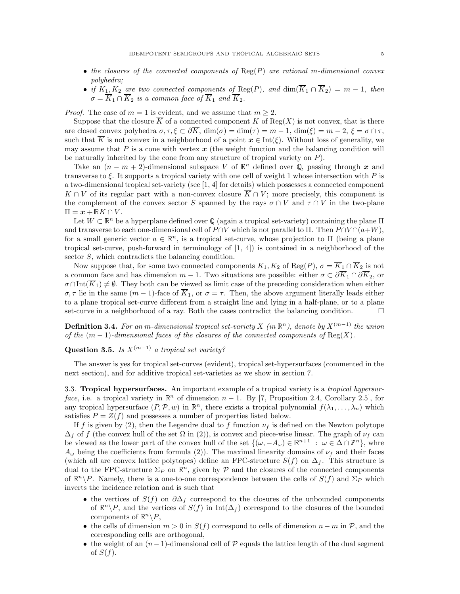- the closures of the connected components of  $\text{Reg}(P)$  are rational m-dimensional convex polyhedra;
- if  $K_1, K_2$  are two connected components of  $\text{Reg}(P)$ , and  $\dim(K_1 \cap K_2) = m 1$ , then  $\sigma = K_1 \cap K_2$  is a common face of  $K_1$  and  $K_2$ .

*Proof.* The case of  $m = 1$  is evident, and we assume that  $m \geq 2$ .

Suppose that the closure  $\overline{K}$  of a connected component K of Reg(X) is not convex, that is there are closed convex polyhedra  $\sigma, \tau, \xi \subset \partial \overline{K}$ ,  $\dim(\sigma) = \dim(\tau) = m - 1$ ,  $\dim(\xi) = m - 2$ ,  $\xi = \sigma \cap \tau$ , such that  $\overline{K}$  is not convex in a neighborhood of a point  $x \in \text{Int}(\xi)$ . Without loss of generality, we may assume that  $P$  is a cone with vertex  $x$  (the weight function and the balancing condition will be naturally inherited by the cone from any structure of tropical variety on  $P$ ).

Take an  $(n - m + 2)$ -dimensional subspace V of  $\mathbb{R}^n$  defined over Q, passing through x and transverse to  $\xi$ . It supports a tropical variety with one cell of weight 1 whose intersection with P is a two-dimensional tropical set-variety (see [1, 4] for details) which possesses a connected component  $K \cap V$  of its regular part with a non-convex closure  $\overline{K} \cap V$ ; more precisely, this component is the complement of the convex sector S spanned by the rays  $\sigma \cap V$  and  $\tau \cap V$  in the two-plane  $\Pi = x + \mathbb{R}K \cap V$ .

Let  $W \subset \mathbb{R}^n$  be a hyperplane defined over Q (again a tropical set-variety) containing the plane  $\Pi$ and transverse to each one-dimensional cell of  $P \cap V$  which is not parallel to  $\Pi$ . Then  $P \cap V \cap (a+W)$ , for a small generic vector  $a \in \mathbb{R}^n$ , is a tropical set-curve, whose projection to  $\Pi$  (being a plane tropical set-curve, push-forward in terminology of [1, 4]) is contained in a neighborhood of the sector S, which contradicts the balancing condition.

Now suppose that, for some two connected components  $K_1, K_2$  of  $\text{Reg}(P), \sigma = \overline{K}_1 \cap \overline{K}_2$  is not a common face and has dimension  $m-1$ . Two situations are possible: either  $\sigma \subset \partial \overline{K}_1 \cap \partial \overline{K}_2$ , or  $\sigma \cap \text{Int}(\overline{K}_1) \neq \emptyset$ . They both can be viewed as limit case of the preceding consideration when either  $\sigma, \tau$  lie in the same  $(m-1)$ -face of  $\overline{K}_1$ , or  $\sigma = \tau$ . Then, the above argument literally leads either to a plane tropical set-curve different from a straight line and lying in a half-plane, or to a plane set-curve in a neighborhood of a ray. Both the cases contradict the balancing condition.

**Definition 3.4.** For an m-dimensional tropical set-variety X (in  $\mathbb{R}^n$ ), denote by  $X^{(m-1)}$  the union of the  $(m-1)$ -dimensional faces of the closures of the connected components of  $\text{Reg}(X)$ .

# Question 3.5. Is  $X^{(m-1)}$  a tropical set variety?

The answer is yes for tropical set-curves (evident), tropical set-hypersurfaces (commented in the next section), and for additive tropical set-varieties as we show in section 7.

3.3. Tropical hypersurfaces. An important example of a tropical variety is a tropical hypersurface, i.e. a tropical variety in  $\mathbb{R}^n$  of dimension  $n-1$ . By [7, Proposition 2.4, Corollary 2.5], for any tropical hypersurface  $(P, \mathcal{P}, w)$  in  $\mathbb{R}^n$ , there exists a tropical polynomial  $f(\lambda_1, \ldots, \lambda_n)$  which satisfies  $P = Z(f)$  and possesses a number of properties listed below.

If f is given by (2), then the Legendre dual to f function  $\nu_f$  is defined on the Newton polytope  $\Delta_f$  of f (the convex hull of the set  $\Omega$  in (2)), is convex and piece-wise linear. The graph of  $\nu_f$  can be viewed as the lower part of the convex hull of the set  $\{(\omega, -A_{\omega}) \in \mathbb{R}^{n+1} : \omega \in \Delta \cap \mathbb{Z}^n\}$ , whre  $A_{\omega}$  being the coefficients from formula (2)). The maximal linearity domains of  $\nu_f$  and their faces (which all are convex lattice polytopes) define an FPC-structure  $S(f)$  on  $\Delta_f$ . This structure is dual to the FPC-structure  $\Sigma_P$  on  $\mathbb{R}^n$ , given by P and the closures of the connected components of  $\mathbb{R}^n \backslash P$ . Namely, there is a one-to-one correspondence between the cells of  $S(f)$  and  $\Sigma_P$  which inverts the incidence relation and is such that

- the vertices of  $S(f)$  on  $\partial \Delta_f$  correspond to the closures of the unbounded components of  $\mathbb{R}^n \backslash P$ , and the vertices of  $S(f)$  in Int( $\Delta_f$ ) correspond to the closures of the bounded components of  $\mathbb{R}^n \backslash P$ ,
- the cells of dimension  $m > 0$  in  $S(f)$  correspond to cells of dimension  $n m$  in  $\mathcal{P}$ , and the corresponding cells are orthogonal,
- the weight of an  $(n-1)$ -dimensional cell of P equals the lattice length of the dual segment of  $S(f)$ .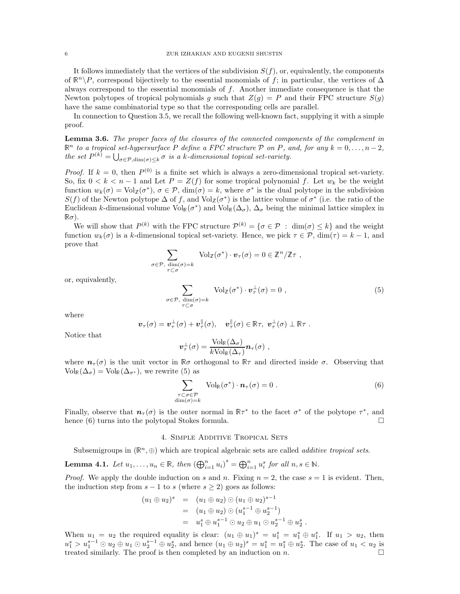It follows immediately that the vertices of the subdivision  $S(f)$ , or, equivalently, the components of  $\mathbb{R}^n \backslash P$ , correspond bijectively to the essential monomials of f; in particular, the vertices of  $\Delta$ always correspond to the essential monomials of  $f$ . Another immediate consequence is that the Newton polytopes of tropical polynomials g such that  $Z(g) = P$  and their FPC structure  $S(g)$ have the same combinatorial type so that the corresponding cells are parallel.

In connection to Question 3.5, we recall the following well-known fact, supplying it with a simple proof.

Lemma 3.6. The proper faces of the closures of the connected components of the complement in  $\mathbb{R}^n$  to a tropical set-hypersurface P define a FPC structure P on P, and, for any  $k = 0, \ldots, n-2$ , the set  $P^{(k)} = \bigcup_{\sigma \in \mathcal{P}, \dim(\sigma) \leq k} \sigma$  is a k-dimensional topical set-variety.

*Proof.* If  $k = 0$ , then  $P^{(0)}$  is a finite set which is always a zero-dimensional tropical set-variety. So, fix  $0 < k < n-1$  and Let  $P = Z(f)$  for some tropical polynomial f. Let  $w_k$  be the weight function  $w_k(\sigma) = \text{Vol}_{\mathbb{Z}}(\sigma^*)$ ,  $\sigma \in \mathcal{P}$ ,  $\dim(\sigma) = k$ , where  $\sigma^*$  is the dual polytope in the subdivision  $S(f)$  of the Newton polytope  $\Delta$  of f, and  $Vol_{\mathbb{Z}}(\sigma^*)$  is the lattice volume of  $\sigma^*$  (i.e. the ratio of the Euclidean k-dimensional volume  $Vol_{\mathbb{R}}(\sigma^*)$  and  $Vol_{\mathbb{R}}(\Delta_{\sigma})$ ,  $\Delta_{\sigma}$  being the minimal lattice simplex in  $\mathbb{R}\sigma$ ).

We will show that  $P^{(k)}$  with the FPC structure  $\mathcal{P}^{(k)} = \{ \sigma \in \mathcal{P} : \dim(\sigma) \leq k \}$  and the weight function  $w_k(\sigma)$  is a k-dimensional topical set-variety. Hence, we pick  $\tau \in \mathcal{P}$ ,  $\dim(\tau) = k - 1$ , and prove that

$$
\sum_{\sigma \in \mathcal{P}, \dim(\sigma) = k} \text{Vol}_{\mathbb{Z}}(\sigma^*) \cdot \mathbf{v}_{\tau}(\sigma) = 0 \in \mathbb{Z}^n / \mathbb{Z}\tau ,
$$

or, equivalently,

$$
\sum_{\sigma \in \mathcal{P}, \dim(\sigma) = k} \text{Vol}_{\mathbb{Z}}(\sigma^*) \cdot \mathbf{v}_{\tau}^{\perp}(\sigma) = 0 ,
$$
\n(5)

where

$$
\boldsymbol{v}_{\tau}(\sigma) = \boldsymbol{v}_{\tau}^{\perp}(\sigma) + \boldsymbol{v}_{\tau}^{\parallel}(\sigma), \quad \boldsymbol{v}_{\tau}^{\parallel}(\sigma) \in \mathbb{R}\tau, \ \boldsymbol{v}_{\tau}^{\perp}(\sigma) \perp \mathbb{R}\tau.
$$

Notice that

$$
\bm{v}_{\tau}^{\perp}(\sigma) = \frac{\mathrm{Vol}_{\mathbb{R}}(\Delta_{\sigma})}{k\mathrm{Vol}_{\mathbb{R}}(\Delta_{\tau})}\bm{n}_{\tau}(\sigma) ,
$$

where  $n_{\tau}(\sigma)$  is the unit vector in  $\mathbb{R}\sigma$  orthogonal to  $\mathbb{R}\tau$  and directed inside  $\sigma$ . Observing that  $Vol_{\mathbb{R}}(\Delta_{\sigma}) = Vol_{\mathbb{R}}(\Delta_{\sigma^*})$ , we rewrite (5) as

$$
\sum_{\substack{\tau \subset \sigma \in \mathcal{P} \\ \dim(\sigma) = k}} \text{Vol}_{\mathbb{R}}(\sigma^*) \cdot n_{\tau}(\sigma) = 0 \tag{6}
$$

Finally, observe that  $n_{\tau}(\sigma)$  is the outer normal in  $\mathbb{R}\tau^*$  to the facet  $\sigma^*$  of the polytope  $\tau^*$ , and hence (6) turns into the polytopal Stokes formula.  $\square$ 

# 4. SIMPLE ADDITIVE TROPICAL SETS

Subsemigroups in  $(\mathbb{R}^n, \oplus)$  which are tropical algebraic sets are called *additive tropical sets*.

**Lemma 4.1.** Let  $u_1, \ldots, u_n \in \mathbb{R}$ , then  $(\bigoplus_{i=1}^n u_i)^s = \bigoplus_{i=1}^n u_i^s$  for all  $n, s \in \mathbb{N}$ .

*Proof.* We apply the double induction on s and n. Fixing  $n = 2$ , the case  $s = 1$  is evident. Then, the induction step from  $s - 1$  to s (where  $s \geq 2$ ) goes as follows:

$$
(u_1 \oplus u_2)^s = (u_1 \oplus u_2) \odot (u_1 \oplus u_2)^{s-1}
$$
  
=  $(u_1 \oplus u_2) \odot (u_1^{s-1} \oplus u_2^{s-1})$   
=  $u_1^s \oplus u_1^{s-1} \odot u_2 \oplus u_1 \odot u_2^{s-1} \oplus u_2^s$ .

When  $u_1 = u_2$  the required equality is clear:  $(u_1 \oplus u_1)^s = u_1^s = u_1^s \oplus u_1^s$ . If  $u_1 > u_2$ , then  $u_1^s > u_1^{s-1} \odot u_2 \oplus u_1 \odot u_2^{s-1} \oplus u_2^s$ , and hence  $(u_1 \oplus u_2)^s = u_1^s = u_1^s \oplus u_2^s$ . The case of  $u_1 < u_2$  is treated similarly. The proof is then completed by an induction on  $n$ .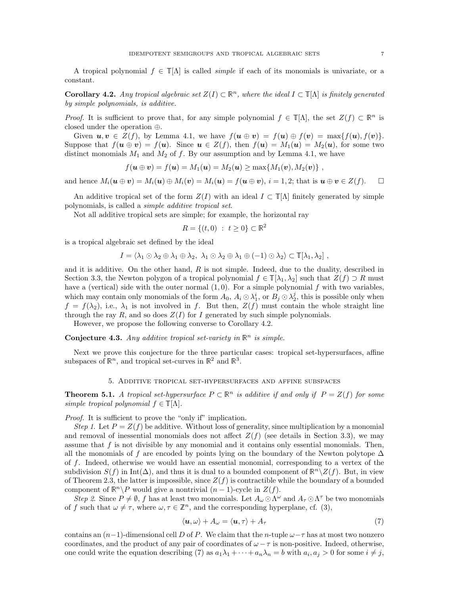A tropical polynomial  $f \in \mathbb{T}[\Lambda]$  is called *simple* if each of its monomials is univariate, or a constant.

**Corollary 4.2.** Any tropical algebraic set  $Z(I) \subset \mathbb{R}^n$ , where the ideal  $I \subset \mathbb{T}[\Lambda]$  is finitely generated by simple polynomials, is additive.

*Proof.* It is sufficient to prove that, for any simple polynomial  $f \in \mathbb{T}[\Lambda]$ , the set  $Z(f) \subset \mathbb{R}^n$  is closed under the operation ⊕.

Given  $u, v \in Z(f)$ , by Lemma 4.1, we have  $f(u \oplus v) = f(u) \oplus f(v) = \max\{f(u), f(v)\}.$ Suppose that  $f(\mathbf{u} \oplus \mathbf{v}) = f(\mathbf{u})$ . Since  $\mathbf{u} \in Z(f)$ , then  $f(\mathbf{u}) = M_1(\mathbf{u}) = M_2(\mathbf{u})$ , for some two distinct monomials  $M_1$  and  $M_2$  of f. By our assumption and by Lemma 4.1, we have

$$
f(\mathbf{u} \oplus \mathbf{v}) = f(\mathbf{u}) = M_1(\mathbf{u}) = M_2(\mathbf{u}) \ge \max\{M_1(\mathbf{v}), M_2(\mathbf{v})\},
$$

and hence  $M_i(\mathbf{u} \oplus \mathbf{v}) = M_i(\mathbf{u}) \oplus M_i(\mathbf{v}) = M_i(\mathbf{u}) = f(\mathbf{u} \oplus \mathbf{v}), i = 1, 2$ ; that is  $\mathbf{u} \oplus \mathbf{v} \in Z(f)$ .

An additive tropical set of the form  $Z(I)$  with an ideal  $I \subset \mathbb{T}[\Lambda]$  finitely generated by simple polynomials, is called a simple additive tropical set.

Not all additive tropical sets are simple; for example, the horizontal ray

$$
R = \{(t, 0) : t \ge 0\} \subset \mathbb{R}^2
$$

is a tropical algebraic set defined by the ideal

$$
I = \langle \lambda_1 \odot \lambda_2 \oplus \lambda_1 \oplus \lambda_2, \lambda_1 \odot \lambda_2 \oplus \lambda_1 \oplus (-1) \odot \lambda_2 \rangle \subset \mathbb{T}[\lambda_1, \lambda_2],
$$

and it is additive. On the other hand,  $R$  is not simple. Indeed, due to the duality, described in Section 3.3, the Newton polygon of a tropical polynomial  $f \in \mathbb{T}[\lambda_1, \lambda_2]$  such that  $Z(f) \supset R$  must have a (vertical) side with the outer normal  $(1, 0)$ . For a simple polynomial f with two variables, which may contain only monomials of the form  $A_0$ ,  $A_i \odot \lambda_1^i$ , or  $B_j \odot \lambda_2^j$ , this is possible only when  $f = f(\lambda_2)$ , i.e.,  $\lambda_1$  is not involved in f. But then,  $Z(f)$  must contain the whole straight line through the ray R, and so does  $Z(I)$  for I generated by such simple polynomials.

However, we propose the following converse to Corollary 4.2.

**Conjecture 4.3.** Any additive tropical set-variety in  $\mathbb{R}^n$  is simple.

Next we prove this conjecture for the three particular cases: tropical set-hypersurfaces, affine subspaces of  $\mathbb{R}^n$ , and tropical set-curves in  $\mathbb{R}^2$  and  $\mathbb{R}^3$ .

# 5. Additive tropical set-hypersurfaces and affine subspaces

**Theorem 5.1.** A tropical set-hypersurface  $P \subset \mathbb{R}^n$  is additive if and only if  $P = Z(f)$  for some simple tropical polynomial  $f \in \mathbb{T}[\Lambda]$ .

Proof. It is sufficient to prove the "only if" implication.

Step 1. Let  $P = Z(f)$  be additive. Without loss of generality, since multiplication by a monomial and removal of inessential monomials does not affect  $Z(f)$  (see details in Section 3.3), we may assume that  $f$  is not divisible by any monomial and it contains only essential monomials. Then, all the monomials of f are encoded by points lying on the boundary of the Newton polytope  $\Delta$ of f. Indeed, otherwise we would have an essential monomial, corresponding to a vertex of the subdivision  $S(f)$  in Int( $\Delta$ ), and thus it is dual to a bounded component of  $\mathbb{R}^n \setminus Z(f)$ . But, in view of Theorem 2.3, the latter is impossible, since  $Z(f)$  is contractible while the boundary of a bounded component of  $\mathbb{R}^n \backslash P$  would give a nontrivial  $(n-1)$ -cycle in  $Z(f)$ .

Step 2. Since  $P \neq \emptyset$ , f has at least two monomials. Let  $A_\omega \odot \Lambda^\omega$  and  $A_\tau \odot \Lambda^\tau$  be two monomials of f such that  $\omega \neq \tau$ , where  $\omega, \tau \in \mathbb{Z}^n$ , and the corresponding hyperplane, cf. (3),

$$
\langle \mathbf{u}, \omega \rangle + A_{\omega} = \langle \mathbf{u}, \tau \rangle + A_{\tau}
$$
\n(7)

contains an  $(n-1)$ -dimensional cell D of P. We claim that the n-tuple  $\omega-\tau$  has at most two nonzero coordinates, and the product of any pair of coordinates of  $\omega - \tau$  is non-positive. Indeed, otherwise, one could write the equation describing (7) as  $a_1\lambda_1 + \cdots + a_n\lambda_n = b$  with  $a_i, a_j > 0$  for some  $i \neq j$ ,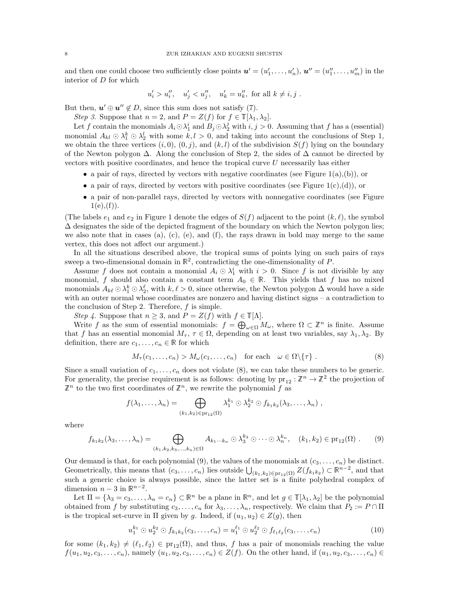and then one could choose two sufficiently close points  $u' = (u'_1, \ldots, u'_n), u'' = (u''_1, \ldots, u''_m)$  in the interior of  ${\cal D}$  for which

$$
u'_i > u''_i
$$
,  $u'_j < u''_j$ ,  $u'_k = u''_k$ , for all  $k \neq i, j$ .

But then,  $u' \oplus u'' \notin D$ , since this sum does not satisfy (7).

Step 3. Suppose that  $n = 2$ , and  $P = Z(f)$  for  $f \in \mathbb{T}[\lambda_1, \lambda_2]$ .

Let f contain the monomials  $A_i \odot \lambda_1^i$  and  $B_j \odot \lambda_2^j$  with  $i, j > 0$ . Assuming that f has a (essential) monomial  $A_{kl} \odot \lambda_1^k \odot \lambda_2^l$  with some  $k, l > 0$ , and taking into account the conclusions of Step 1, we obtain the three vertices  $(i, 0), (0, j)$ , and  $(k, l)$  of the subdivision  $S(f)$  lying on the boundary of the Newton polygon  $\Delta$ . Along the conclusion of Step 2, the sides of  $\Delta$  cannot be directed by vectors with positive coordinates, and hence the tropical curve U necessarily has either

- a pair of rays, directed by vectors with negative coordinates (see Figure 1(a),(b)), or
- a pair of rays, directed by vectors with positive coordinates (see Figure 1(c),(d)), or
- a pair of non-parallel rays, directed by vectors with nonnegative coordinates (see Figure  $1(e), (f)$ .

(The labels  $e_1$  and  $e_2$  in Figure 1 denote the edges of  $S(f)$  adjacent to the point  $(k, \ell)$ , the symbol  $\Delta$  designates the side of the depicted fragment of the boundary on which the Newton polygon lies; we also note that in cases (a), (c), (e), and (f), the rays drawn in bold may merge to the same vertex, this does not affect our argument.)

In all the situations described above, the tropical sums of points lying on such pairs of rays sweep a two-dimensional domain in  $\mathbb{R}^2$ , contradicting the one-dimensionality of P.

Assume f does not contain a monomial  $A_i \odot \lambda_1^i$  with  $i > 0$ . Since f is not divisible by any monomial, f should also contain a constant term  $A_0 \in \mathbb{R}$ . This yields that f has no mixed monomials  $A_{k\ell} \odot \lambda_1^k \odot \lambda_2^{\ell}$ , with  $k, \ell > 0$ , since otherwise, the Newton polygon  $\Delta$  would have a side with an outer normal whose coordinates are nonzero and having distinct signs – a contradiction to the conclusion of Step 2. Therefore,  $f$  is simple.

*Step 4*. Suppose that  $n \geq 3$ , and  $P = Z(f)$  with  $f \in \mathbb{T}[\Lambda]$ .

Write f as the sum of essential monomials:  $f = \bigoplus_{\omega \in \Omega} M_{\omega}$ , where  $\Omega \subset \mathbb{Z}^n$  is finite. Assume that f has an essential monomial  $M_{\tau}$ ,  $\tau \in \Omega$ , depending on at least two variables, say  $\lambda_1, \lambda_2$ . By definition, there are  $c_1, \ldots, c_n \in \mathbb{R}$  for which

$$
M_{\tau}(c_1,\ldots,c_n) > M_{\omega}(c_1,\ldots,c_n) \quad \text{for each} \quad \omega \in \Omega \setminus \{\tau\} \ . \tag{8}
$$

Since a small variation of  $c_1, \ldots, c_n$  does not violate (8), we can take these numbers to be generic. For generality, the precise requirement is as follows: denoting by  $\text{pr}_{12} : \mathbb{Z}^n \to \mathbb{Z}^2$  the projection of  $\mathbb{Z}^n$  to the two first coordinates of  $\mathbb{Z}^n$ , we rewrite the polynomial f as

$$
f(\lambda_1,\ldots,\lambda_n)=\bigoplus_{(k_1,k_2)\in\operatorname{pr}_{12}(\Omega)}\lambda_1^{k_1}\odot\lambda_2^{k_2}\odot f_{k_1k_2}(\lambda_3,\ldots,\lambda_n)\;,
$$

where

$$
f_{k_1k_2}(\lambda_3,\ldots,\lambda_n)=\bigoplus_{(k_1,k_2,k_3,\ldots,k_n)\in\Omega}A_{k_1\cdots k_n}\odot\lambda_3^{k_3}\odot\cdots\odot\lambda_n^{k_n},\quad (k_1,k_2)\in\mathrm{pr}_{12}(\Omega)\ .\qquad(9)
$$

Our demand is that, for each polynomial (9), the values of the monomials at  $(c_3, \ldots, c_n)$  be distinct. Geometrically, this means that  $(c_3, \ldots, c_n)$  lies outside  $\bigcup_{(k_1,k_2)\in \text{pr}_{12}(\Omega)} Z(f_{k_1k_2}) \subset \mathbb{R}^{n-2}$ , and that such a generic choice is always possible, since the latter set is a finite polyhedral complex of dimension  $n-3$  in  $\mathbb{R}^{n-2}$ .

Let  $\Pi = {\lambda_3 = c_3, \ldots, \lambda_n = c_n} \subset \mathbb{R}^n$  be a plane in  $\mathbb{R}^n$ , and let  $g \in \mathbb{T}[\lambda_1, \lambda_2]$  be the polynomial obtained from f by substituting  $c_3, \ldots, c_n$  for  $\lambda_3, \ldots, \lambda_n$ , respectively. We claim that  $P_2 := P \cap \Pi$ is the tropical set-curve in  $\Pi$  given by g. Indeed, if  $(u_1, u_2) \in Z(g)$ , then

$$
u_1^{k_1} \odot u_2^{k_2} \odot f_{k_1k_2}(c_3,\ldots,c_n) = u_1^{\ell_1} \odot u_2^{\ell_2} \odot f_{\ell_1\ell_2}(c_3,\ldots,c_n)
$$
\n(10)

for some  $(k_1, k_2) \neq (\ell_1, \ell_2) \in \text{pr}_{12}(\Omega)$ , and thus, f has a pair of monomials reaching the value  $f(u_1, u_2, c_3, \ldots, c_n)$ , namely  $(u_1, u_2, c_3, \ldots, c_n) \in Z(f)$ . On the other hand, if  $(u_1, u_2, c_3, \ldots, c_n) \in$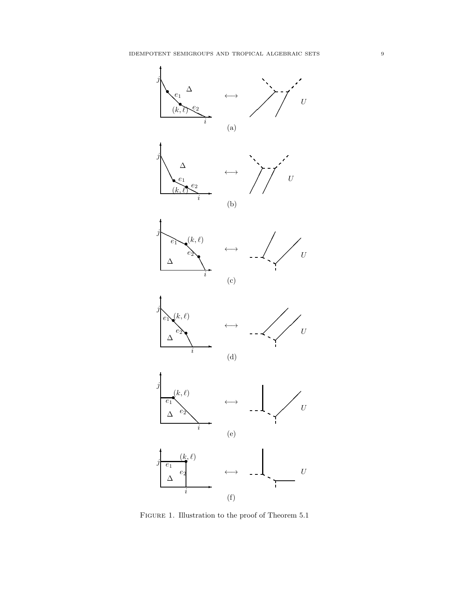

FIGURE 1. Illustration to the proof of Theorem 5.1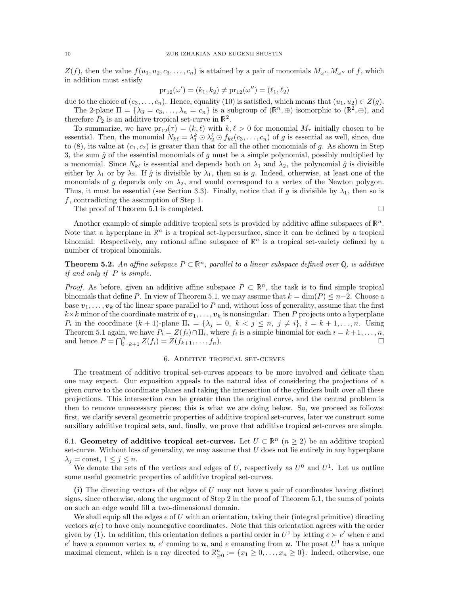$Z(f)$ , then the value  $f(u_1, u_2, c_3, \ldots, c_n)$  is attained by a pair of monomials  $M_{\omega'}, M_{\omega''}$  of f, which in addition must satisfy

$$
\mathrm{pr}_{12}(\omega') = (k_1, k_2) \neq \mathrm{pr}_{12}(\omega'') = (\ell_1, \ell_2)
$$

due to the choice of  $(c_3, \ldots, c_n)$ . Hence, equality (10) is satisfied, which means that  $(u_1, u_2) \in Z(g)$ . The 2-plane  $\Pi = \{\lambda_3 = c_3, \ldots, \lambda_n = c_n\}$  is a subgroup of  $(\mathbb{R}^n, \oplus)$  isomorphic to  $(\mathbb{R}^2, \oplus)$ , and

therefore  $P_2$  is an additive tropical set-curve in  $\mathbb{R}^2$ .

To summarize, we have  $pr_{12}(\tau) = (k, \ell)$  with  $k, \ell > 0$  for monomial  $M_{\tau}$  initially chosen to be essential. Then, the monomial  $N_{k\ell} = \lambda_1^k \odot \lambda_2^{\ell} \odot f_{k\ell}(c_3,\ldots,c_n)$  of g is essential as well, since, due to (8), its value at  $(c_1, c_2)$  is greater than that for all the other monomials of g. As shown in Step 3, the sum  $\hat{g}$  of the essential monomials of g must be a simple polynomial, possibly multiplied by a monomial. Since  $N_{k\ell}$  is essential and depends both on  $\lambda_1$  and  $\lambda_2$ , the polynomial  $\hat{g}$  is divisible either by  $\lambda_1$  or by  $\lambda_2$ . If  $\hat{g}$  is divisible by  $\lambda_1$ , then so is g. Indeed, otherwise, at least one of the monomials of g depends only on  $\lambda_2$ , and would correspond to a vertex of the Newton polygon. Thus, it must be essential (see Section 3.3). Finally, notice that if g is divisible by  $\lambda_1$ , then so is f, contradicting the assumption of Step 1.

The proof of Theorem 5.1 is completed.

Another example of simple additive tropical sets is provided by additive affine subspaces of  $\mathbb{R}^n$ . Note that a hyperplane in  $\mathbb{R}^n$  is a tropical set-hypersurface, since it can be defined by a tropical binomial. Respectively, any rational affine subspace of  $\mathbb{R}^n$  is a tropical set-variety defined by a number of tropical binomials.

**Theorem 5.2.** An affine subspace  $P \subset \mathbb{R}^n$ , parallel to a linear subspace defined over Q, is additive if and only if P is simple.

*Proof.* As before, given an additive affine subspace  $P \subset \mathbb{R}^n$ , the task is to find simple tropical binomials that define P. In view of Theorem 5.1, we may assume that  $k = \dim(P) \leq n-2$ . Choose a base  $v_1, \ldots, v_k$  of the linear space parallel to P and, without loss of generality, assume that the first  $k\times k$  minor of the coordinate matrix of  $v_1, \ldots, v_k$  is nonsingular. Then P projects onto a hyperplane  $P_i$  in the coordinate  $(k + 1)$ -plane  $\Pi_i = \{\lambda_j = 0, k < j \le n, j \neq i\}, i = k + 1, \ldots, n$ . Using Theorem 5.1 again, we have  $P_i = Z(f_i) \cap \Pi_i$ , where  $f_i$  is a simple binomial for each  $i = k+1, \ldots, n$ , and hence  $P = \bigcap_{i=k+1}^{n} Z(f_i) = Z(f_{k+1}, \ldots, f_n).$ 

# 6. Additive tropical set-curves

The treatment of additive tropical set-curves appears to be more involved and delicate than one may expect. Our exposition appeals to the natural idea of considering the projections of a given curve to the coordinate planes and taking the intersection of the cylinders built over all these projections. This intersection can be greater than the original curve, and the central problem is then to remove unnecessary pieces; this is what we are doing below. So, we proceed as follows: first, we clarify several geometric properties of additive tropical set-curves, later we construct some auxiliary additive tropical sets, and, finally, we prove that additive tropical set-curves are simple.

6.1. Geometry of additive tropical set-curves. Let  $U \subset \mathbb{R}^n$   $(n \geq 2)$  be an additive tropical set-curve. Without loss of generality, we may assume that  $U$  does not lie entirely in any hyperplane  $\lambda_i = \text{const}, 1 \leq j \leq n.$ 

We denote the sets of the vertices and edges of U, respectively as  $U^0$  and  $U^1$ . Let us outline some useful geometric properties of additive tropical set-curves.

(i) The directing vectors of the edges of U may not have a pair of coordinates having distinct signs, since otherwise, along the argument of Step 2 in the proof of Theorem 5.1, the sums of points on such an edge would fill a two-dimensional domain.

We shall equip all the edges  $e$  of U with an orientation, taking their (integral primitive) directing vectors  $a(e)$  to have only nonnegative coordinates. Note that this orientation agrees with the order given by (1). In addition, this orientation defines a partial order in  $U^1$  by letting  $e \succ e'$  when e and e' have a common vertex  $u, e'$  coming to  $u$ , and e emanating from  $u$ . The poset  $U^1$  has a unique maximal element, which is a ray directed to  $\mathbb{R}^n_{\geq 0} := \{x_1 \geq 0, \ldots, x_n \geq 0\}$ . Indeed, otherwise, one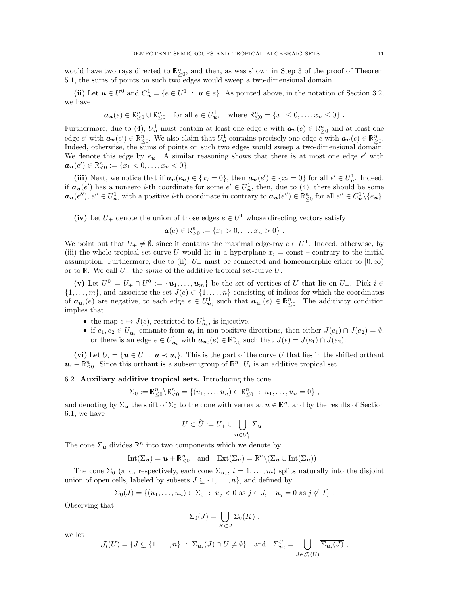would have two rays directed to  $\mathbb{R}^n_{\geq 0}$ , and then, as was shown in Step 3 of the proof of Theorem 5.1, the sums of points on such two edges would sweep a two-dimensional domain.

(ii) Let  $u \in U^0$  and  $C_u^1 = \{e \in U^1 : u \in e\}$ . As pointed above, in the notation of Section 3.2, we have

$$
\mathbf{a}_{\mathbf{u}}(e) \in \mathbb{R}_{\geq 0}^n \cup \mathbb{R}_{\leq 0}^n \quad \text{for all } e \in U_{\mathbf{u}}^1, \quad \text{where } \mathbb{R}_{\leq 0}^n = \{x_1 \leq 0, \dots, x_n \leq 0\} \; .
$$

Furthermore, due to (4),  $U^1_{\boldsymbol{u}}$  must contain at least one edge e with  $\boldsymbol{a}_{\boldsymbol{u}}(e) \in \mathbb{R}^n_{\geq 0}$  and at least one edge  $e'$  with  $a_u(e') \in \mathbb{R}_{\leq 0}^n$ . We also claim that  $U_u^1$  contains precisely one edge  $e$  with  $a_u(e) \in \mathbb{R}_{\geq 0}^n$ . Indeed, otherwise, the sums of points on such two edges would sweep a two-dimensional domain. We denote this edge by  $e_{u}$ . A similar reasoning shows that there is at most one edge  $e'$  with  $a_{u}(e') \in \mathbb{R}_{<0}^{n} := \{x_1 < 0, \ldots, x_n < 0\}.$ 

(iii) Next, we notice that if  $a_u(e_u) \in \{x_i = 0\}$ , then  $a_u(e') \in \{x_i = 0\}$  for all  $e' \in U_u^1$ . Indeed, if  $a_u(e')$  has a nonzero *i*-th coordinate for some  $e' \in U_u^1$ , then, due to (4), there should be some  $a_{\mathbf{u}}(e'')$ ,  $e'' \in U^1_{\mathbf{u}}$ , with a positive *i*-th coordinate in contrary to  $a_{\mathbf{u}}(e'') \in \mathbb{R}^n_{\leq 0}$  for all  $e'' \in C^1_{\mathbf{u}} \setminus \{e_{\mathbf{u}}\}.$ 

(iv) Let  $U_+$  denote the union of those edges  $e \in U^1$  whose directing vectors satisfy

$$
\mathbf{a}(e) \in \mathbb{R}_{>0}^n := \{x_1 > 0, \ldots, x_n > 0\}.
$$

We point out that  $U_+ \neq \emptyset$ , since it contains the maximal edge-ray  $e \in U^1$ . Indeed, otherwise, by (iii) the whole tropical set-curve U would lie in a hyperplane  $x_i = \text{const}$  – contrary to the initial assumption. Furthermore, due to (ii),  $U_+$  must be connected and homeomorphic either to  $[0, \infty)$ or to R. We call  $U_+$  the *spine* of the additive tropical set-curve U.

(v) Let  $U^0_+ = U_+ \cap U^0 := \{u_1, \ldots, u_m\}$  be the set of vertices of U that lie on  $U_+$ . Pick  $i \in$  $\{1,\ldots,m\}$ , and associate the set  $J(e) \subset \{1,\ldots,n\}$  consisting of indices for which the coordinates of  $a_{u_i}(e)$  are negative, to each edge  $e \in U_{u_i}^1$  such that  $a_{u_i}(e) \in \mathbb{R}_{\leq 0}^n$ . The additivity condition implies that

- the map  $e \mapsto J(e)$ , restricted to  $U^1_{\mathbf{u}_i}$ , is injective,
- if  $e_1, e_2 \in U^1_{u_i}$  emanate from  $u_i$  in non-positive directions, then either  $J(e_1) \cap J(e_2) = \emptyset$ , or there is an edge  $e \in U_{\mathbf{u}_i}^1$  with  $\mathbf{a}_{\mathbf{u}_i}(e) \in \mathbb{R}_{\leq 0}^n$  such that  $J(e) = J(e_1) \cap J(e_2)$ .

(vi) Let  $U_i = \{u \in U : u \lt u_i\}$ . This is the part of the curve U that lies in the shifted orthant  $u_i + \mathbb{R}_{\leq 0}^n$ . Since this orthant is a subsemigroup of  $\mathbb{R}^n$ ,  $U_i$  is an additive tropical set.

# 6.2. Auxiliary additive tropical sets. Introducing the cone

$$
\Sigma_0 := \mathbb{R}_{\leq 0}^n \backslash \mathbb{R}_{<0}^n = \{(u_1, \ldots, u_n) \in \mathbb{R}_{\leq 0}^n : u_1, \ldots, u_n = 0\},\,
$$

and denoting by  $\Sigma_u$  the shift of  $\Sigma_0$  to the cone with vertex at  $u \in \mathbb{R}^n$ , and by the results of Section 6.1, we have

$$
U\subset \widetilde{U}:=U_+\cup\bigcup_{\boldsymbol{u}\in U^0_+}\Sigma_{\boldsymbol{u}}\ .
$$

The cone  $\Sigma_u$  divides  $\mathbb{R}^n$  into two components which we denote by

$$
\mathrm{Int}(\Sigma_{\mathbf{u}})=\mathbf{u}+\mathbb{R}_{<0}^n \quad \text{and} \quad \mathrm{Ext}(\Sigma_{\mathbf{u}})=\mathbb{R}^n\backslash (\Sigma_{\mathbf{u}}\cup \mathrm{Int}(\Sigma_{\mathbf{u}}))\ .
$$

The cone  $\Sigma_0$  (and, respectively, each cone  $\Sigma_{\mathbf{u}_i}$ ,  $i=1,\ldots,m$ ) splits naturally into the disjoint union of open cells, labeled by subsets  $J \subsetneq \{1, \ldots, n\},$  and defined by

$$
\Sigma_0(J) = \{(u_1, \ldots, u_n) \in \Sigma_0 : u_j < 0 \text{ as } j \in J, u_j = 0 \text{ as } j \notin J\}.
$$

Observing that

$$
\overline{\Sigma_0(J)} = \bigcup_{K \subset J} \Sigma_0(K) ,
$$

we let

$$
\mathcal{J}_i(U) = \{ J \subsetneq \{1,\ldots,n\} : \ \Sigma_{\mathbf{u}_i}(J) \cap U \neq \emptyset \} \quad \text{and} \quad \Sigma_{\mathbf{u}_i}^U = \bigcup_{J \in \mathcal{J}_i(U)} \overline{\Sigma_{\mathbf{u}_i}(J)},
$$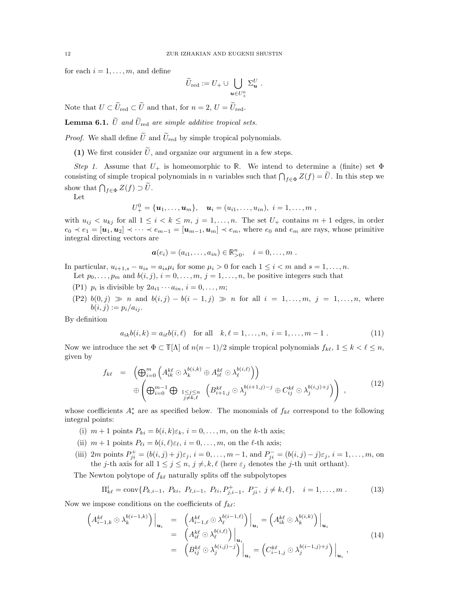for each  $i = 1, \ldots, m$ , and define

$$
\widetilde{U}_{\mathrm{red}}:=U_+\cup\bigcup_{\bm{u}\in U^0_+}\Sigma_{\bm{u}}^U\ .
$$

Note that  $U \subset \widetilde{U}_{red} \subset \widetilde{U}$  and that, for  $n = 2, U = \widetilde{U}_{red}$ .

**Lemma 6.1.**  $\widetilde{U}$  and  $\widetilde{U}_{\text{red}}$  are simple additive tropical sets.

*Proof.* We shall define  $\tilde{U}$  and  $\tilde{U}_{\text{red}}$  by simple tropical polynomials.

(1) We first consider  $\tilde{U}$ , and organize our argument in a few steps.

Step 1. Assume that  $U_+$  is homeomorphic to R. We intend to determine a (finite) set  $\Phi$ consisting of simple tropical polynomials in n variables such that  $\bigcap_{f\in\Phi}Z(f)=\tilde{U}$ . In this step we show that  $\bigcap_{f \in \Phi} Z(f) \supset \tilde{U}$ .

Let

$$
U^0_+ = {\mathbf{u}_1, \ldots, \mathbf{u}_m}, \quad \mathbf{u}_i = (u_{i1}, \ldots, u_{in}), \ i = 1, \ldots, m,
$$

with  $u_{ij} < u_{kj}$  for all  $1 \leq i \leq k \leq m, j = 1, \ldots, n$ . The set  $U_{+}$  contains  $m + 1$  edges, in order  $e_0 \prec e_1 = [\boldsymbol{u}_1, \boldsymbol{u}_2] \prec \cdots \prec e_{m-1} = [\boldsymbol{u}_{m-1}, \boldsymbol{u}_m] \prec e_m$ , where  $e_0$  and  $e_m$  are rays, whose primitive integral directing vectors are

$$
\mathbf{a}(e_i) = (a_{i1}, \dots, a_{in}) \in \mathbb{R}_{>0}^n, \quad i = 0, \dots, m .
$$

In particular,  $u_{i+1,s} - u_{is} = a_{is}\mu_i$  for some  $\mu_i > 0$  for each  $1 \leq i < m$  and  $s = 1, \ldots, n$ .

Let  $p_0, \ldots, p_m$  and  $b(i, j), i = 0, \ldots, m, j = 1, \ldots, n$ , be positive integers such that

- (P1)  $p_i$  is divisible by  $2a_{i1} \cdots a_{in}$ ,  $i = 0, \ldots, m;$
- (P2)  $b(0, j) \gg n$  and  $b(i, j) b(i 1, j) \gg n$  for all  $i = 1, ..., m, j = 1, ..., n$ , where  $b(i, j) := p_i/a_{ij}.$

By definition

$$
a_{ik}b(i,k) = a_{ik}b(i,\ell) \text{ for all } k,\ell = 1,\ldots,n, i = 1,\ldots,m-1.
$$
 (11)

Now we introduce the set  $\Phi \subset \mathbb{T}[\Lambda]$  of  $n(n-1)/2$  simple tropical polynomials  $f_{k\ell}, 1 \leq k < \ell \leq n$ , given by

$$
f_{k\ell} = \left( \bigoplus_{i=0}^{m} \left( A_{ik}^{k\ell} \odot \lambda_k^{b(i,k)} \oplus A_{i\ell}^{k\ell} \odot \lambda_\ell^{b(i,\ell)} \right) \right) \n\oplus \left( \bigoplus_{i=0}^{m-1} \bigoplus_{\substack{1 \leq j \leq n \\ j \neq k,\ell}} \left( B_{i+1,j}^{k\ell} \odot \lambda_j^{b(i+1,j)-j} \oplus C_{ij}^{k\ell} \odot \lambda_j^{b(i,j)+j} \right) \right),
$$
\n(12)

whose coefficients  $A^*_*$  are as specified below. The monomials of  $f_{k\ell}$  correspond to the following integral points:

- (i)  $m + 1$  points  $P_{ki} = b(i, k)\varepsilon_k$ ,  $i = 0, \ldots, m$ , on the k-th axis;
- (ii)  $m + 1$  points  $P_{\ell i} = b(i, \ell) \varepsilon_{\ell}$ ,  $i = 0, \ldots, m$ , on the  $\ell$ -th axis;
- (iii)  $2m$  points  $P_{ji}^+ = (b(i, j) + j)\varepsilon_j$ ,  $i = 0, ..., m 1$ , and  $P_{ji}^- = (b(i, j) j)\varepsilon_j$ ,  $i = 1, ..., m$ , on the *j*-th axis for all  $1 \leq j \leq n$ ,  $j \neq k$ ,  $\ell$  (here  $\varepsilon_j$  denotes the *j*-th unit orthant).

The Newton polytope of  $f_{k\ell}$  naturally splits off the subpolytopes

$$
\Pi_{k\ell}^{i} = \text{conv}\{P_{k,i-1}, P_{ki}, P_{\ell,i-1}, P_{\ell i}, P_{j,i-1}^{+}, P_{ji}^{-}, j \neq k, \ell\}, \quad i = 1, \dots, m. \tag{13}
$$

Now we impose conditions on the coefficients of  $f_{k\ell}$ :

$$
\left(A_{i-1,k}^{k\ell} \odot \lambda_k^{b(i-1,k)}\right)\Big|_{\mathbf{u}_i} = \left(A_{i-1,\ell}^{k\ell} \odot \lambda_\ell^{b(i-1,\ell)}\right)\Big|_{\mathbf{u}_i} = \left(A_{ik}^{k\ell} \odot \lambda_k^{b(i,k)}\right)\Big|_{\mathbf{u}_i}
$$
\n
$$
= \left(A_{i\ell}^{k\ell} \odot \lambda_\ell^{b(i,\ell)}\right)\Big|_{\mathbf{u}_i}
$$
\n
$$
= \left(B_{ij}^{k\ell} \odot \lambda_j^{b(i,j)-j}\right)\Big|_{\mathbf{u}_i} = \left(C_{i-1,j}^{k\ell} \odot \lambda_j^{b(i-1,j)+j}\right)\Big|_{\mathbf{u}_i},\tag{14}
$$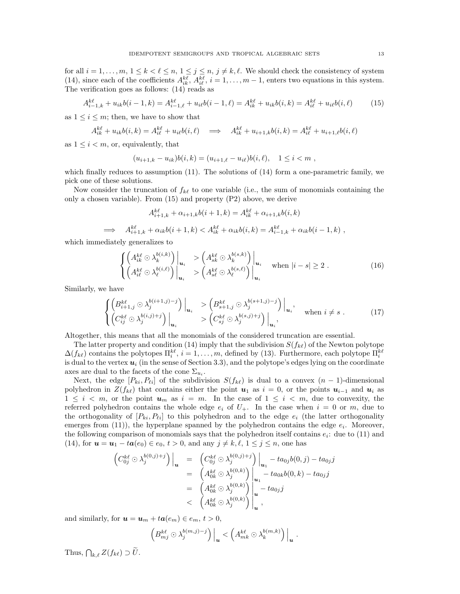for all  $i = 1, \ldots, m, 1 \leq k < \ell \leq n, 1 \leq j \leq n, j \neq k, \ell$ . We should check the consistency of system (14), since each of the coefficients  $A_{ik}^{k\ell}$ ,  $A_{i\ell}^{k\ell}$ ,  $i = 1, ..., m-1$ , enters two equations in this system. The verification goes as follows: (14) reads as

$$
A_{i-1,k}^{k\ell} + u_{ik}b(i-1,k) = A_{i-1,\ell}^{k\ell} + u_{i\ell}b(i-1,\ell) = A_{ik}^{k\ell} + u_{ik}b(i,k) = A_{i\ell}^{k\ell} + u_{i\ell}b(i,\ell) \tag{15}
$$

as  $1 \leq i \leq m$ ; then, we have to show that

$$
A_{ik}^{k\ell} + u_{ik}b(i,k) = A_{i\ell}^{k\ell} + u_{i\ell}b(i,\ell) \implies A_{ik}^{k\ell} + u_{i+1,k}b(i,k) = A_{i\ell}^{k\ell} + u_{i+1,\ell}b(i,\ell)
$$

as  $1 \leq i < m$ , or, equivalently, that

$$
(u_{i+1,k}-u_{ik})b(i,k)=(u_{i+1,\ell}-u_{i\ell})b(i,\ell), \quad 1\leq i < m,
$$

which finally reduces to assumption  $(11)$ . The solutions of  $(14)$  form a one-parametric family, we pick one of these solutions.

Now consider the truncation of  $f_{k\ell}$  to one variable (i.e., the sum of monomials containing the only a chosen variable). From (15) and property (P2) above, we derive

$$
A_{i+1,k}^{k\ell} + \alpha_{i+1,k}b(i+1,k) = A_{ik}^{k\ell} + \alpha_{i+1,k}b(i,k)
$$

$$
\implies A_{i+1,k}^{k\ell} + \alpha_{ik}b(i+1,k) < A_{ik}^{k\ell} + \alpha_{ik}b(i,k) = A_{i-1,k}^{k\ell} + \alpha_{ik}b(i-1,k) \;,
$$

which immediately generalizes to

$$
\left\{ \begin{pmatrix} A_{ik}^{k\ell} \odot \lambda_k^{b(i,k)} \vert u_i > \left( A_{sk}^{k\ell} \odot \lambda_k^{b(s,k)} \right) \vert u_i \\ \left( A_{i\ell}^{k\ell} \odot \lambda_\ell^{b(i,\ell)} \right) \vert u_i > \left( A_{s\ell}^{k\ell} \odot \lambda_\ell^{b(s,\ell)} \right) \vert u_i & \text{when } |i-s| \ge 2 \ . \end{pmatrix} \right\}
$$
\n
$$
(16)
$$

Similarly, we have

$$
\begin{cases}\n\left(B_{i+1,j}^{k\ell} \odot \lambda_j^{b(i+1,j)-j}\right)\Big|_{\mathbf{u}_i} > \left(B_{s+1,j}^{k\ell} \odot \lambda_j^{b(s+1,j)-j}\right)\Big|_{\mathbf{u}_i}, \\
\left(C_{ij}^{k\ell} \odot \lambda_j^{b(i,j)+j}\right)\Big|_{\mathbf{u}_i} > \left(C_{sj}^{k\ell} \odot \lambda_j^{b(s,j)+j}\right)\Big|_{\mathbf{u}_i}, \quad \text{when } i \neq s .\n\end{cases} \tag{17}
$$

Altogether, this means that all the monomials of the considered truncation are essential.

The latter property and condition (14) imply that the subdivision  $S(f_{k\ell})$  of the Newton polytope  $\Delta(f_{k\ell})$  contains the polytopes  $\Pi_i^{k\ell}, i = 1,\ldots,m$ , defined by (13). Furthermore, each polytope  $\Pi_i^{k\ell}$ is dual to the vertex  $u_i$  (in the sense of Section 3.3), and the polytope's edges lying on the coordinate axes are dual to the facets of the cone  $\Sigma_{u_i}$ .

Next, the edge  $[P_{ki}, P_{li}]$  of the subdivision  $S(f_{k\ell})$  is dual to a convex  $(n-1)$ -dimensional polyhedron in  $Z(f_{k\ell})$  that contains either the point  $u_1$  as  $i = 0$ , or the points  $u_{i-1}$  and  $u_i$  as  $1 \leq i \leq m$ , or the point  $u_m$  as  $i = m$ . In the case of  $1 \leq i \leq m$ , due to convexity, the referred polyhedron contains the whole edge  $e_i$  of  $U_+$ . In the case when  $i = 0$  or m, due to the orthogonality of  $[P_{ki}, P_{li}]$  to this polyhedron and to the edge  $e_i$  (the latter orthogonality emerges from (11)), the hyperplane spanned by the polyhedron contains the edge  $e_i$ . Moreover, the following comparison of monomials says that the polyhedron itself contains  $e_i$ : due to (11) and (14), for  $u = u_1 - ta(e_0) \in e_0, t > 0$ , and any  $j \neq k, \ell, 1 \leq j \leq n$ , one has

$$
\begin{array}{rcl}\n\left(C_{0j}^{k\ell} \odot \lambda_{j}^{b(0,j)+j}\right)\Big|_{\mathbf{u}} & = & \left(C_{0j}^{k\ell} \odot \lambda_{j}^{b(0,j)+j}\right)\Big|_{\mathbf{u}_{1}} - ta_{0j}b(0,j) - ta_{0j}j \\
& = & \left(A_{0k}^{k\ell} \odot \lambda_{j}^{b(0,k)}\right)\Big|_{\mathbf{u}_{1}} - ta_{0k}b(0,k) - ta_{0j}j \\
& = & \left(A_{0k}^{k\ell} \odot \lambda_{j}^{b(0,k)}\right)\Big|_{\mathbf{u}} - ta_{0j}j \\
&< & \left(A_{0k}^{k\ell} \odot \lambda_{j}^{b(0,k)}\right)\Big|_{\mathbf{u}}^{ \mathbf{u}}\n\end{array}
$$

and similarly, for  $u = u_m + ta(e_m) \in e_m$ ,  $t > 0$ ,

$$
\left(B_{mj}^{k\ell}\odot\lambda_j^{b(m,j)-j}\right)\Big|_{\boldsymbol{u}}<\left(A_{mk}^{k\ell}\odot\lambda_k^{b(m,k)}\right)\Big|_{\boldsymbol{u}}.
$$

Thus,  $\bigcap_{k,\ell} Z(f_{k\ell}) \supset \widetilde{U}$ .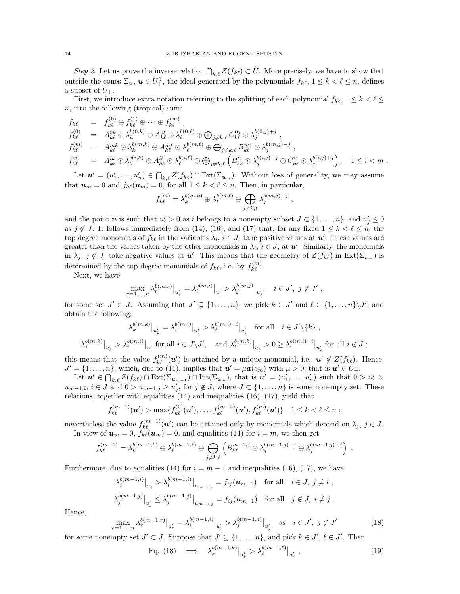Step 2. Let us prove the inverse relation  $\bigcap_{k,\ell} Z(f_{k\ell}) \subset \widetilde{U}$ . More precisely, we have to show that outside the cones  $\Sigma_{\boldsymbol{u}}, \boldsymbol{u} \in U^0_+$ , the ideal generated by the polynomials  $f_{k\ell}, 1 \leq k \leq \ell \leq n$ , defines a subset of  $U_+$ .

First, we introduce extra notation referring to the splitting of each polynomial  $f_{k\ell}, 1 \leq k < \ell \leq$ n, into the following (tropical) sum:

$$
f_{k\ell} = f_{k\ell}^{(0)} \oplus f_{k\ell}^{(1)} \oplus \cdots \oplus f_{k\ell}^{(m)},
$$
  
\n
$$
f_{k\ell}^{(0)} = A_{k\ell}^{0k} \odot \lambda_k^{b(0,k)} \oplus A_{k\ell}^{0\ell} \odot \lambda_\ell^{b(0,\ell)} \oplus \bigoplus_{j \neq k,\ell} C_{k\ell}^{0j} \odot \lambda_j^{b(0,j)+j},
$$
  
\n
$$
f_{k\ell}^{(m)} = A_{k\ell}^{mk} \odot \lambda_k^{b(m,k)} \oplus A_{k\ell}^{m\ell} \odot \lambda_\ell^{b(m,\ell)} \oplus \bigoplus_{j \neq k,\ell} B_{k\ell}^{mj} \odot \lambda_j^{b(m,j)-j},
$$
  
\n
$$
f_{k\ell}^{(i)} = A_{k\ell}^{ik} \odot \lambda_k^{b(i,k)} \oplus A_{k\ell}^{i\ell} \odot \lambda_\ell^{b(i,\ell)} \oplus \bigoplus_{j \neq k,\ell} \left( B_{k\ell}^{ij} \odot \lambda_j^{b(i,j)-j} \oplus C_{k\ell}^{ij} \odot \lambda_j^{b(i,j)+j} \right), \quad 1 \leq i < m.
$$

Let  $u' = (u'_1, \ldots, u'_n) \in \bigcap_{k,\ell} Z(f_{k\ell}) \cap \text{Ext}(\Sigma_{u_m})$ . Without loss of generality, we may assume that  $u_m = 0$  and  $f_{k\ell}(u_m) = 0$ , for all  $1 \leq k < \ell \leq n$ . Then, in particular,

$$
f_{k\ell}^{(m)} = \lambda_k^{b(m,k)} \oplus \lambda_\ell^{b(m,\ell)} \oplus \bigoplus_{j \neq k,\ell} \lambda_j^{b(m,j)-j} ,
$$

and the point **u** is such that  $u'_i > 0$  as i belongs to a nonempty subset  $J \subset \{1, \ldots, n\}$ , and  $u'_j \leq 0$ as  $j \notin J$ . It follows immediately from (14), (16), and (17) that, for any fixed  $1 \leq k < \ell \leq n$ , the top degree monomials of  $f_{k\ell}$  in the variables  $\lambda_i, i \in J$ , take positive values at  $u'$ . These values are greater than the values taken by the other monomials in  $\lambda_i$ ,  $i \in J$ , at  $u'$ . Similarly, the monomials in  $\lambda_j$ ,  $j \notin J$ , take negative values at  $u'$ . This means that the geometry of  $Z(f_{k\ell})$  in  $Ext(\Sigma_{u_m})$  is determined by the top degree monomials of  $f_{k\ell}$ , i.e. by  $f_{k\ell}^{(m)}$ .

Next, we have

$$
\max_{r=1,\dots,n} \lambda_r^{b(m,r)}|_{u'_r} = \lambda_i^{b(m,i)}|_{u'_i} > \lambda_j^{b(m,j)}|_{u'_j}, \quad i \in J', \ j \notin J' \ ,
$$

for some set  $J' \subset J$ . Assuming that  $J' \subsetneq \{1, ..., n\}$ , we pick  $k \in J'$  and  $\ell \in \{1, ..., n\}\setminus J'$ , and obtain the following:

$$
\lambda_k^{b(m,k)}\big|_{u'_k} = \lambda_i^{b(m,i)}\big|_{u'_i} > \lambda_i^{b(m,i)-i}\big|_{u'_i} \quad \text{for all} \quad i \in J'\backslash\{k\} \;,
$$
  

$$
\lambda_k^{b(m,k)}\big|_{u'_k} > \lambda_i^{b(m,i)}\big|_{u'_i} \text{ for all } i \in J\backslash J', \quad \text{and } \lambda_k^{b(m,k)}\big|_{u'_k} > 0 \ge \lambda_i^{b(m,i)-i}\big|_{u'_i} \text{ for all } i \notin J \; ;
$$

this means that the value  $f_{k\ell}^{(m)}(\mathbf{u}')$  is attained by a unique monomial, i.e.,  $\mathbf{u}' \notin Z(f_{k\ell})$ . Hence,  $J' = \{1, \ldots, n\}$ , which, due to (11), implies that  $u' = \mu a(e_m)$  with  $\mu > 0$ ; that is  $u' \in U_+$ .

Let  $u' \in \bigcap_{k,\ell} Z(f_{k\ell}) \cap \text{Ext}(\Sigma_{u_{m-1}}) \cap \text{Int}(\Sigma_{u_m}),$  that is  $u' = (u'_1, \ldots, u'_n)$  such that  $0 > u'_i >$  $u_{m-1,i}, i \in J$  and  $0 > u_{m-1,j} \ge u'_j$ , for  $j \notin J$ , where  $J \subset \{1, \ldots, n\}$  is some nonempty set. These relations, together with equalities (14) and inequalities (16), (17), yield that

$$
f_{k\ell}^{(m-1)}(\boldsymbol{u}') > \max\{f_{k\ell}^{(0)}(\boldsymbol{u}'), \ldots, f_{k\ell}^{(m-2)}(\boldsymbol{u}'), f_{k\ell}^{(m)}(\boldsymbol{u}')\} \quad 1 \leq k < \ell \leq n ;
$$

nevertheless the value  $f_{k\ell}^{(m-1)}(\boldsymbol{u}')$  can be attained only by monomials which depend on  $\lambda_j$ ,  $j \in J$ . In view of  $u_m = 0$ ,  $f_{k\ell}(u_m) = 0$ , and equalities (14) for  $i = m$ , we then get

$$
f_{k\ell}^{(m-1)} = \lambda_k^{b(m-1,k)} \oplus \lambda_\ell^{b(m-1,\ell)} \oplus \bigoplus_{j \neq k,\ell} \left( B_{k\ell}^{m-1,j} \odot \lambda_j^{b(m-1,j)-j} \oplus \lambda_j^{b(m-1,j)+j} \right) .
$$

Furthermore, due to equalities (14) for  $i = m - 1$  and inequalities (16), (17), we have

$$
\lambda_i^{b(m-1,i)}|_{u'_i} > \lambda_i^{b(m-1,i)}|_{u_{m-1,i}} = f_{ij}(\mathbf{u}_{m-1}) \text{ for all } i \in J, j \neq i,
$$
  

$$
\lambda_j^{b(m-1,j)}|_{u'_j} \le \lambda_j^{b(m-1,j)}|_{u_{m-1,j}} = f_{ij}(\mathbf{u}_{m-1}) \text{ for all } j \notin J, i \neq j.
$$

Hence,

$$
\max_{r=1,\dots,n} \lambda_r^{b(m-1,r)}|_{u'_r} = \lambda_i^{b(m-1,i)}|_{u'_i} > \lambda_j^{b(m-1,j)}|_{u'_j} \quad \text{as} \quad i \in J', \ j \notin J' \tag{18}
$$

for some nonempty set  $J' \subset J$ . Suppose that  $J' \subsetneq \{1, \ldots, n\}$ , and pick  $k \in J'$ ,  $\ell \notin J'$ . Then

Eq. (18) 
$$
\implies \lambda_k^{b(m-1,k)}|_{u'_k} > \lambda_\ell^{b(m-1,\ell)}|_{u'_\ell}
$$
, (19)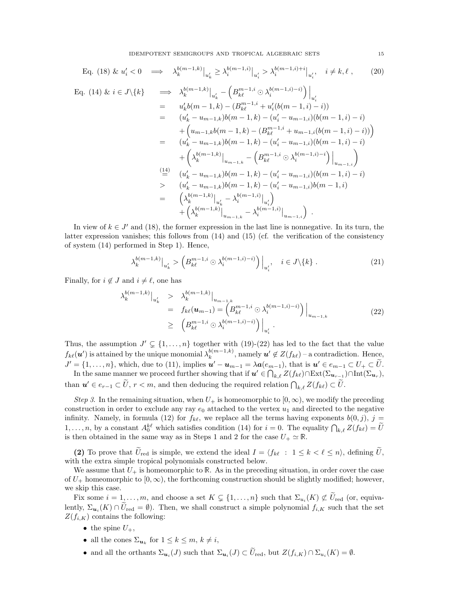Eq. (18) & 
$$
u'_i < 0 \implies \lambda_k^{b(m-1,k)}|_{u'_k} \ge \lambda_i^{b(m-1,i)}|_{u'_i} > \lambda_i^{b(m-1,i)+i}|_{u'_i}, \quad i \ne k, \ell
$$
, (20)  
\nEq. (14) &  $i \in J \setminus \{k\}$   $\implies \lambda_k^{b(m-1,k)}|_{u'_k} - \left(B_{k\ell}^{m-1,i} \odot \lambda_i^{b(m-1,i)-i)}\right)|_{u'_i}$   
\n $= u'_k b(m-1,k) - (B_{k\ell}^{m-1,i} + u'_i(b(m-1,i)-i))$   
\n $= (u'_k - u_{m-1,k})b(m-1,k) - (u'_i - u_{m-1,i})(b(m-1,i)-i)$   
\n $+ \left(u_{m-1,k}b(m-1,k) - (B_{k\ell}^{m-1,i} + u_{m-1,i}(b(m-1,i)-i))\right)$   
\n $= (u'_k - u_{m-1,k})b(m-1,k) - (u'_i - u_{m-1,i})(b(m-1,i)-i)$   
\n $+ \left(\lambda_k^{b(m-1,k)}|_{u_{m-1,k}} - \left(B_{k\ell}^{m-1,i} \odot \lambda_i^{b(m-1,i)-i}\right)\Big|_{u_{m-1,i}}\right)$   
\n $\stackrel{(14)}{=} (u'_k - u_{m-1,k})b(m-1,k) - (u'_i - u_{m-1,i})(b(m-1,i)-i)$   
\n $> (u'_k - u_{m-1,k})b(m-1,k) - (u'_i - u_{m-1,i})b(m-1,i)$   
\n $= \left(\lambda_k^{b(m-1,k)}|_{u'_k} - \lambda_i^{b(m-1,i)}|_{u'_i}\right)$   
\n $+ \left(\lambda_k^{b(m-1,k)}|_{u_{m-1,k}} - \lambda_i^{b(m-1,i)}|_{u_{m-1,i}}\right).$ 

In view of  $k \in J'$  and (18), the former expression in the last line is nonnegative. In its turn, the latter expression vanishes; this follows from (14) and (15) (cf. the verification of the consistency of system (14) performed in Step 1). Hence,

$$
\lambda_k^{b(m-1,k)}\big|_{u'_k} \ge \left(B_{k\ell}^{m-1,i} \odot \lambda_i^{b(m-1,i)-i)}\right)\big|_{u'_i}, \quad i \in J\backslash\{k\} \ . \tag{21}
$$

Finally, for  $i \notin J$  and  $i \neq \ell$ , one has

$$
\lambda_k^{b(m-1,k)}|_{u'_k} > \lambda_k^{b(m-1,k)}|_{u_{m-1,k}} \n= f_{k\ell}(\boldsymbol{u}_{m-1}) = \left(B_{k\ell}^{m-1,i} \odot \lambda_i^{b(m-1,i)-i}\right)\Big|_{u_{m-1,k}} \tag{22}
$$
\n
$$
\geq \left(B_{k\ell}^{m-1,i} \odot \lambda_i^{b(m-1,i)-i}\right)\Big|_{u'_i}.
$$

Thus, the assumption  $J' \subsetneq \{1, \ldots, n\}$  together with  $(19)-(22)$  has led to the fact that the value  $f_{k\ell}(\boldsymbol{u}')$  is attained by the unique monomial  $\lambda_k^{b(m-1,k)}$  $\mathbf{E}_k^{(m-1,k)}$ , namely  $\mathbf{u}' \notin Z(f_{k\ell})$  – a contradiction. Hence,  $J' = \{1, \ldots, n\}$ , which, due to (11), implies  $u' - u_{m-1} = \lambda a(e_{m-1})$ , that is  $u' \in e_{m-1} \subset U_+ \subset \tilde{U}$ .

In the same manner we proceed further showing that if  $u' \in \bigcap_{k,\ell} Z(f_{k\ell}) \cap \text{Ext}(\Sigma_{u_{r-1}}) \cap \text{Int}(\Sigma_{u_r}),$ than  $u' \in e_{r-1} \subset \tilde{U}$ ,  $r < m$ , and then deducing the required relation  $\bigcap_{k,\ell} Z(f_{k\ell}) \subset \tilde{U}$ .

Step 3. In the remaining situation, when  $U_+$  is homeomorphic to  $[0, \infty)$ , we modify the preceding construction in order to exclude any ray  $e_0$  attached to the vertex  $u_1$  and directed to the negative infinity. Namely, in formula (12) for  $f_{k\ell}$ , we replace all the terms having exponents  $b(0, j)$ ,  $j =$  $1,\ldots,n$ , by a constant  $A_0^{k\ell}$  which satisfies condition (14) for  $i=0$ . The equality  $\bigcap_{k,\ell} Z(f_{k\ell}) = \widetilde{U}$ is then obtained in the same way as in Steps 1 and 2 for the case  $U_+ \simeq \mathbb{R}$ .

(2) To prove that  $\tilde{U}_{\text{red}}$  is simple, we extend the ideal  $I = \langle f_{k\ell} : 1 \leq k \leq \ell \leq n \rangle$ , defining  $\tilde{U}$ , with the extra simple tropical polynomials constructed below.

We assume that  $U_+$  is homeomorphic to R. As in the preceding situation, in order cover the case of  $U_+$  homeomorphic to  $[0, \infty)$ , the forthcoming construction should be slightly modified; however, we skip this case.

Fix some  $i = 1, \ldots, m$ , and choose a set  $K \subsetneq \{1, \ldots, n\}$  such that  $\Sigma_{u_i}(K) \not\subset U_{\text{red}}$  (or, equivalently,  $\Sigma_{\mathbf{u}_i}(K) \cap U_{\text{red}} = \emptyset$ . Then, we shall construct a simple polynomial  $f_{i,K}$  such that the set  $Z(f_{i,K})$  contains the following:

- the spine  $U_+$ ,
- all the cones  $\Sigma_{\mathbf{u}_k}$  for  $1 \leq k \leq m, k \neq i$ ,
- and all the orthants  $\Sigma_{\mathbf{u}_i}(J)$  such that  $\Sigma_{\mathbf{u}_i}(J) \subset U_{\text{red}}$ , but  $Z(f_{i,K}) \cap \Sigma_{u_i}(K) = \emptyset$ .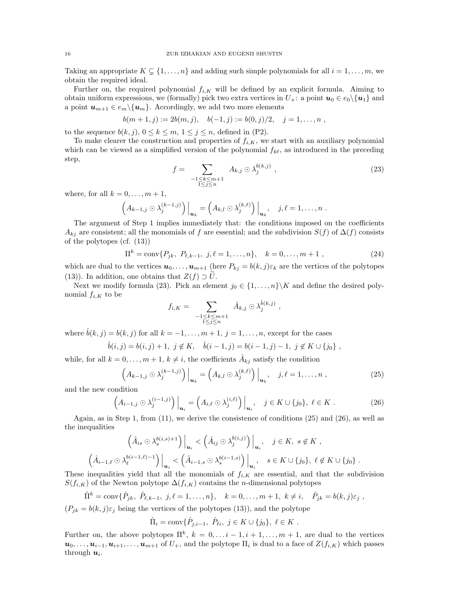Taking an appropriate  $K \subsetneq \{1, \ldots, n\}$  and adding such simple polynomials for all  $i = 1, \ldots, m$ , we obtain the required ideal.

Further on, the required polynomial  $f_{i,K}$  will be defined by an explicit formula. Aiming to obtain uniform expressions, we (formally) pick two extra vertices in  $U_+$ : a point  $u_0 \in e_0 \setminus \{u_1\}$  and a point  $u_{m+1} \in e_m \setminus \{u_m\}$ . Accordingly, we add two more elements

$$
b(m+1,j) := 2b(m,j), \quad b(-1,j) := b(0,j)/2, \quad j=1,\ldots,n,
$$

to the sequence  $b(k, j)$ ,  $0 \le k \le m$ ,  $1 \le j \le n$ , defined in (P2).

To make clearer the construction and properties of  $f_{i,K}$ , we start with an auxiliary polynomial which can be viewed as a simplified version of the polynomial  $f_{k\ell}$ , as introduced in the preceding step,

$$
f = \sum_{\substack{-1 \le k \le m+1 \\ 1 \le j \le n}} A_{k,j} \odot \lambda_j^{b(k,j)} \,, \tag{23}
$$

where, for all  $k = 0, \ldots, m + 1$ ,

$$
\left(A_{k-1,j}\odot\lambda_j^{(k-1,j)}\right)\Big|_{{\bf u}_k}=\left(A_{k,l}\odot\lambda_j^{(k,\ell)}\right)\Big|_{{\bf u}_k},\quad j,\ell=1,\ldots,n.
$$

The argument of Step 1 implies immediately that: the conditions imposed on the coefficients  $A_{ki}$  are consistent; all the monomials of f are essential; and the subdivision  $S(f)$  of  $\Delta(f)$  consists of the polytopes (cf. (13))

$$
\Pi^{k} = \text{conv}\{P_{jk}, P_{\ell,k-1}, j, \ell = 1, ..., n\}, \quad k = 0, ..., m+1,
$$
\n(24)

which are dual to the vertices  $u_0, \ldots, u_{m+1}$  (here  $P_{kj} = b(k, j) \varepsilon_k$  are the vertices of the polytopes (13)). In addition, one obtains that  $Z(f) \supset U$ .

Next we modify formula (23). Pick an element  $j_0 \in \{1, ..., n\} \backslash K$  and define the desired polynomial  $f_{i,K}$  to be

$$
f_{i,K} = \sum_{\substack{1 \leq k \leq m+1 \\ 1 \leq j \leq n}} \hat{A}_{k,j} \odot \lambda_j^{\hat{b}(k,j)},
$$

where  $\hat{b}(k, j) = b(k, j)$  for all  $k = -1, \ldots, m + 1, j = 1, \ldots, n$ , except for the cases

$$
\hat{b}(i,j) = b(i,j) + 1, \ j \notin K, \quad \hat{b}(i-1,j) = b(i-1,j) - 1, \ j \notin K \cup \{j_0\} \ ,
$$

while, for all  $k = 0, \ldots, m + 1, k \neq i$ , the coefficients  $\hat{A}_{kj}$  satisfy the condition

$$
\left(A_{k-1,j}\odot\lambda_j^{(k-1,j)}\right)\Big|_{\mathbf{u}_k}=\left(A_{k,l}\odot\lambda_j^{(k,\ell)}\right)\Big|_{\mathbf{u}_k},\quad j,\ell=1,\ldots,n\,,\tag{25}
$$

and the new condition

$$
\left(A_{i-1,j}\odot\lambda_j^{(i-1,j)}\right)\Big|_{\mathbf{u}_i} = \left(A_{i,\ell}\odot\lambda_j^{(i,\ell)}\right)\Big|_{\mathbf{u}_i}, \quad j \in K \cup \{j_0\}, \ \ell \in K \ . \tag{26}
$$

Again, as in Step 1, from (11), we derive the consistence of conditions (25) and (26), as well as the inequalities

$$
\left(\hat{A}_{is} \odot \lambda_s^{b(i,s)+1}\right)\Big|_{\mathbf{u}_i} < \left(\hat{A}_{ij} \odot \lambda_j^{b(i,j)}\right)\Big|_{\mathbf{u}_i}, \quad j \in K, \ s \notin K \ ,
$$
\n
$$
\left(\hat{A}_{i-1,\ell} \odot \lambda_\ell^{b(i-1,\ell)-1}\right)\Big|_{\mathbf{u}_i} < \left(\hat{A}_{i-1,s} \odot \lambda_s^{b(i-1,s)}\right)\Big|_{\mathbf{u}_i}, \quad s \in K \cup \{j_0\}, \ \ell \notin K \cup \{j_0\} \ .
$$
\nis a real list, the sum is a constant, and the sum is a constant. The sum is a constant, and the sum is a constant.

These inequalities yield that all the monomials of  $f_{i,K}$  are essential, and that the subdivision  $S(f_{i,K})$  of the Newton polytope  $\Delta(f_{i,K})$  contains the *n*-dimensional polytopes

$$
\hat{\Pi}^k = \text{conv}\{\hat{P}_{jk}, \ \hat{P}_{\ell,k-1}, \ j,\ell = 1,\ldots,n\}, \quad k = 0,\ldots,m+1, \ k \neq i, \quad \hat{P}_{jk} = b(k,j)\varepsilon_j,
$$
  
( $P_{jk} = b(k,j)\varepsilon_j$  being the vertices of the polytopes (13)), and the polytope

 $\hat{\Pi}_i = \text{conv}\{\hat{P}_{j,i-1}, \ \hat{P}_{\ell i}, \ j \in K \cup \{j_0\}, \ \ell \in K \ .$ 

Further on, the above polytopes  $\Pi^k$ ,  $k = 0, \ldots i-1, i+1, \ldots, m+1$ , are dual to the vertices  $u_0, \ldots, u_{i-1}, u_{i+1}, \ldots, u_{m+1}$  of  $U_+$ , and the polytope  $\Pi_i$  is dual to a face of  $Z(f_{i,K})$  which passes through  $u_i$ .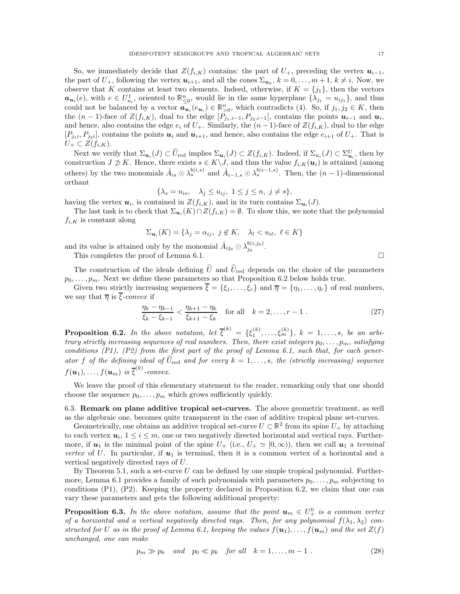So, we immediately decide that  $Z(f_{i,K})$  contains: the part of  $U_{+}$ , preceding the vertex  $u_{i-1}$ , the part of  $U_+$ , following the vertex  $u_{i+1}$ , and all the cones  $\Sigma_{u_k}$ ,  $k = 0, \ldots, m+1, k \neq i$ . Now, we observe that K contains at least two elements. Indeed, otherwise, if  $K = \{j_1\}$ , then the vectors  $a_{u_i}(e)$ , with  $e \in U_{u_i}^1$ , oriented to  $\mathbb{R}_{\leq 0}^n$ , would lie in the same hyperplane  $\{\lambda_{j_1} = u_{ij_1}\}$ , and thus could not be balanced by a vector  $\overline{\mathbf{a}_{u_i}}(e_{u_i}) \in \mathbb{R}_{>0}^n$ , which contradicts (4). So, if  $j_1, j_2 \in K$ , then the  $(n-1)$ -face of  $Z(f_{i,K})$ , dual to the edge  $[\hat{P}_{j_1,i-1}, P_{j_2,i-1}]$ , contains the points  $u_{i-1}$  and  $u_i$ , and hence, also contains the edge  $e_i$  of  $U_+$ . Similarly, the  $(n-1)$ -face of  $Z(f_{i,K})$ , dual to the edge  $[P_{j_1i}, P_{j_2i}]$ , contains the points  $u_i$  and  $u_{i+1}$ , and hence, also contains the edge  $e_{i+1}$  of  $U_+$ . That is  $U_+ \subset Z(f_{i,K}).$ 

Next we verify that  $\Sigma_{\mathbf{u}_i}(J) \subset \widetilde{U}_{\text{red}}$  implies  $\Sigma_{\mathbf{u}_i}(J) \subset Z(f_{i,K})$ . Indeed, if  $\Sigma_{u_i}(J) \subset \Sigma_{\mathbf{u}_i}^U$ , then by construction  $J \not\supset K$ . Hence, there exists  $s \in K \backslash J$ , and thus the value  $f_{i,K}(u_i)$  is attained (among others) by the two monomials  $\hat{A}_{is} \odot \lambda_s^{b(i,s)}$  and  $\hat{A}_{i-1,s} \odot \lambda_s^{b(i-1,s)}$ . Then, the  $(n-1)$ -dimensional orthant

$$
\{\lambda_s = u_{is}, \quad \lambda_j \le u_{ij}, \ 1 \le j \le n, \ j \ne s\},\
$$

having the vertex  $u_i$ , is contained in  $Z(f_{i,K})$ , and in its turn contains  $\Sigma_{u_i}(J)$ .

The last task is to check that  $\Sigma_{\mathbf{u}_i}(K) \cap Z(f_{i,K}) = \emptyset$ . To show this, we note that the polynomial  $f_{i,K}$  is constant along

$$
\Sigma_{\mathbf{u}_i}(K) = \{\lambda_j = \alpha_{ij}, \ j \notin K, \quad \lambda_l < u_{i\ell}, \ \ell \in K\}
$$

and its value is attained only by the monomial  $\hat{A}_{ij_0} \odot \lambda_{j_0}^{b(i,j_0)}$ 

This completes the proof of Lemma 6.1.  $\Box$ 

The construction of the ideals defining  $\tilde{U}$  and  $\tilde{U}_{\text{red}}$  depends on the choice of the parameters  $p_0, \ldots, p_m$ . Next we define these parameters so that Proposition 6.2 below holds true.

Given two strictly increasing sequences  $\overline{\xi} = {\xi_1, \ldots, \xi_r}$  and  $\overline{\eta} = {\eta_1, \ldots, \eta_r}$  of real numbers, we say that  $\overline{\eta}$  is  $\overline{\xi}$ -convex if

$$
\frac{\eta_k - \eta_{k-1}}{\xi_k - \xi_{k-1}} < \frac{\eta_{k+1} - \eta_k}{\xi_{k+1} - \xi_k} \quad \text{for all} \quad k = 2, \dots, r - 1 \tag{27}
$$

 $_{j_0}^{\sigma_(i,j_0)}.$ 

**Proposition 6.2.** In the above notation, let  $\overline{\xi}^{(k)} = {\xi_1^{(k)}, \ldots, \xi_m^{(k)}}$ ,  $k = 1, \ldots, s$ , be an arbitrary strictly increasing sequences of real numbers. Then, there exist integers  $p_0, \ldots, p_m$ , satisfying conditions  $(P1)$ ,  $(P2)$  from the first part of the proof of Lemma 6.1, such that, for each generator f of the defining ideal of  $\bar{U}_{\text{red}}$  and for every  $k = 1, \ldots, s$ , the (strictly increasing) sequence  $f(\boldsymbol{u}_1), \dots, f(\boldsymbol{u}_m)$  is  $\overline{\xi}^{(k)}$ -convex.

We leave the proof of this elementary statement to the reader, remarking only that one should choose the sequence  $p_0, \ldots, p_m$  which grows sufficiently quickly.

6.3. Remark on plane additive tropical set-curves. The above geometric treatment, as well as the algebraic one, becomes quite transparent in the case of additive tropical plane set-curves.

Geometrically, one obtains an additive tropical set-curve  $U \subset \mathbb{R}^2$  from its spine  $U_+$  by attaching to each vertex  $u_i, 1 \le i \le m$ , one or two negatively directed horizontal and vertical rays. Furthermore, if  $u_1$  is the minimal point of the spine  $U_+$  (i.e.,  $U_+ \simeq [0,\infty)$ ), then we call  $u_1$  a terminal vertex of U. In particular, if  $u_1$  is terminal, then it is a common vertex of a horizontal and a vertical negatively directed rays of U.

By Theorem 5.1, such a set-curve  $U$  can be defined by one simple tropical polynomial. Furthermore, Lemma 6.1 provides a family of such polynomials with parameters  $p_0, \ldots, p_m$  subjecting to conditions (P1), (P2). Keeping the property declared in Proposition 6.2, we claim that one can vary these parameters and gets the following additional property:

**Proposition 6.3.** In the above notation, assume that the point  $u_m \in U^0_+$  is a common vertex of a horizontal and a vertical negatively directed rays. Then, for any polynomial  $f(\lambda_1, \lambda_2)$  constructed for U as in the proof of Lemma 6.1, keeping the values  $f(\mathbf{u}_1), \ldots, f(\mathbf{u}_m)$  and the set  $Z(f)$ unchanged, one can make

$$
p_m \gg p_k \quad and \quad p_0 \ll p_k \quad \text{for all} \quad k = 1, \dots, m - 1 \tag{28}
$$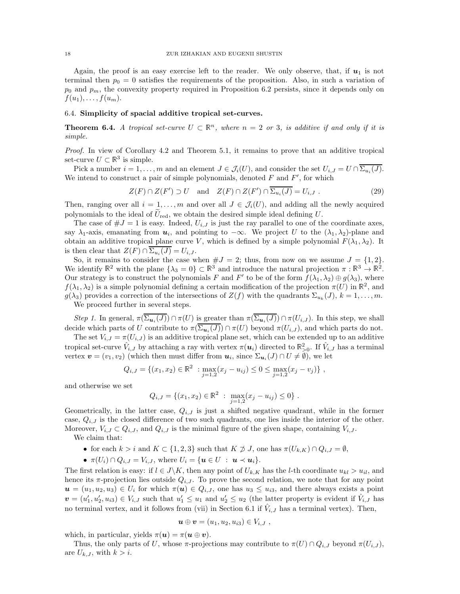Again, the proof is an easy exercise left to the reader. We only observe, that, if  $u_1$  is not terminal then  $p_0 = 0$  satisfies the requirements of the proposition. Also, in such a variation of  $p_0$  and  $p_m$ , the convexity property required in Proposition 6.2 persists, since it depends only on  $f(u_1), \ldots, f(u_m).$ 

# 6.4. Simplicity of spacial additive tropical set-curves.

**Theorem 6.4.** A tropical set-curve  $U \subset \mathbb{R}^n$ , where  $n = 2$  or 3, is additive if and only if it is simple.

Proof. In view of Corollary 4.2 and Theorem 5.1, it remains to prove that an additive tropical set-curve  $U \subset \mathbb{R}^3$  is simple.

Pick a number  $i = 1, ..., m$  and an element  $J \in \mathcal{J}_i(U)$ , and consider the set  $U_{i,J} = U \cap \Sigma_{u_i}(J)$ . We intend to construct a pair of simple polynomials, denoted  $F$  and  $F'$ , for which

$$
Z(F) \cap Z(F') \supset U \quad \text{and} \quad Z(F) \cap Z(F') \cap \overline{\Sigma_{u_i}(J)} = U_{i,J} \tag{29}
$$

Then, ranging over all  $i = 1, \ldots, m$  and over all  $J \in \mathcal{J}_i(U)$ , and adding all the newly acquired polynomials to the ideal of  $\widetilde{U}_{\text{red}}$ , we obtain the desired simple ideal defining U.

The case of  $\#J = 1$  is easy. Indeed,  $U_{i,J}$  is just the ray parallel to one of the coordinate axes, say  $\lambda_1$ -axis, emanating from  $u_i$ , and pointing to  $-\infty$ . We project U to the  $(\lambda_1, \lambda_2)$ -plane and obtain an additive tropical plane curve V, which is defined by a simple polynomial  $F(\lambda_1, \lambda_2)$ . It is then clear that  $Z(F) \cap \Sigma_{u_i}(J) = U_{i,J}$ .

So, it remains to consider the case when  $\#J = 2$ ; thus, from now on we assume  $J = \{1, 2\}$ . We identify  $\mathbb{R}^2$  with the plane  $\{\lambda_3 = 0\} \subset \mathbb{R}^3$  and introduce the natural projection  $\pi : \mathbb{R}^3 \to \mathbb{R}^2$ . Our strategy is to construct the polynomials F and F' to be of the form  $f(\lambda_1, \lambda_2) \oplus g(\lambda_3)$ , where  $f(\lambda_1, \lambda_2)$  is a simple polynomial defining a certain modification of the projection  $\pi(U)$  in  $\mathbb{R}^2$ , and  $g(\lambda_3)$  provides a correction of the intersections of  $Z(f)$  with the quadrants  $\Sigma_{u_k}(J)$ ,  $k=1,\ldots,m$ .

We proceed further in several steps.

Step 1. In general,  $\pi(\Sigma_{\mathbf{u}_i}(J)) \cap \pi(U)$  is greater than  $\pi(\Sigma_{\mathbf{u}_i}(J)) \cap \pi(U_{i,J})$ . In this step, we shall decide which parts of U contribute to  $\pi(\Sigma_{u_i}(J)) \cap \pi(U)$  beyond  $\pi(U_{i,J})$ , and which parts do not.

The set  $V_{i,J} = \pi(U_{i,J})$  is an additive tropical plane set, which can be extended up to an additive tropical set-curve  $\hat{V}_{i,J}$  by attaching a ray with vertex  $\pi(\bm{u}_i)$  directed to  $\mathbb{R}_{>0}^2$ . If  $\hat{V}_{i,J}$  has a terminal vertex  $\mathbf{v} = (v_1, v_2)$  (which then must differ from  $\mathbf{u}_i$ , since  $\Sigma_{\mathbf{u}_i}(J) \cap U \neq \emptyset$ ), we let

$$
Q_{i,J} = \{(x_1, x_2) \in \mathbb{R}^2 : \max_{j=1,2} (x_j - u_{ij}) \leq 0 \leq \max_{j=1,2} (x_j - v_j)\},\,
$$

and otherwise we set

$$
Q_{i,J} = \{(x_1, x_2) \in \mathbb{R}^2 : \max_{j=1,2} (x_j - u_{ij}) \leq 0\}.
$$

Geometrically, in the latter case,  $Q_{i,J}$  is just a shifted negative quadrant, while in the former case,  $Q_{i,J}$  is the closed difference of two such quadrants, one lies inside the interior of the other. Moreover,  $V_{i,J} \subset Q_{i,J}$ , and  $Q_{i,J}$  is the minimal figure of the given shape, containing  $V_{i,J}$ .

We claim that:

- for each  $k > i$  and  $K \subset \{1, 2, 3\}$  such that  $K \not\supseteq J$ , one has  $\pi(U_{k,K}) \cap Q_{i,J} = \emptyset$ ,
- $\pi(U_i) \cap Q_{i,J} = V_{i,J}$ , where  $U_i = \{ \mathbf{u} \in U : \mathbf{u} \prec \mathbf{u}_i \}.$

The first relation is easy: if  $l \in J\backslash K$ , then any point of  $U_{k,K}$  has the l-th coordinate  $u_{kl} > u_{il}$ , and hence its  $\pi$ -projection lies outside  $Q_{i,J}$ . To prove the second relation, we note that for any point  $u = (u_1, u_2, u_3) \in U_i$  for which  $\pi(u) \in Q_{i,J}$ , one has  $u_3 \leq u_{i3}$ , and there always exists a point  $\mathbf{v} = (u'_1, u'_2, u_{i3}) \in V_{i,J}$  such that  $u'_1 \leq u_1$  and  $u'_2 \leq u_2$  (the latter property is evident if  $\hat{V}_{i,J}$  has no terminal vertex, and it follows from (vii) in Section 6.1 if  $\hat{V}_{i,J}$  has a terminal vertex). Then,

$$
\boldsymbol{u}\oplus\boldsymbol{v}=(u_1,u_2,u_{i3})\in V_{i,J}\;,
$$

which, in particular, yields  $\pi(\mathbf{u}) = \pi(\mathbf{u} \oplus \mathbf{v})$ .

Thus, the only parts of U, whose  $\pi$ -projections may contribute to  $\pi(U) \cap Q_{i,J}$  beyond  $\pi(U_{i,J})$ , are  $U_{k,J}$ , with  $k > i$ .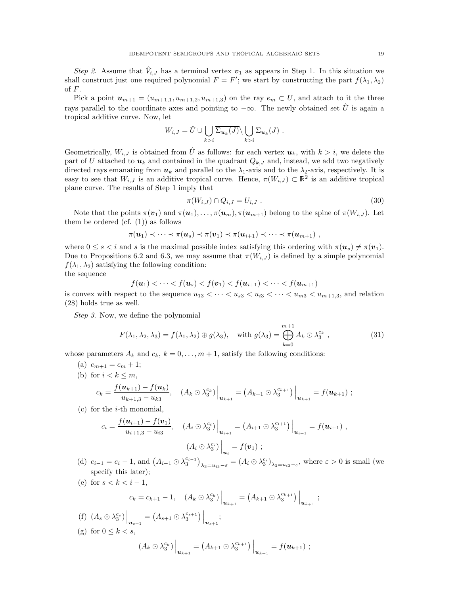Step 2. Assume that  $V_{i,J}$  has a terminal vertex  $v_1$  as appears in Step 1. In this situation we shall construct just one required polynomial  $F = F'$ ; we start by constructing the part  $f(\lambda_1, \lambda_2)$ of  $F$ .

Pick a point  $u_{m+1} = (u_{m+1,1}, u_{m+1,2}, u_{m+1,3})$  on the ray  $e_m \subset U$ , and attach to it the three rays parallel to the coordinate axes and pointing to  $-\infty$ . The newly obtained set  $\hat{U}$  is again a tropical additive curve. Now, let

$$
W_{i,J} = \hat{U} \cup \bigcup_{k>i} \overline{\Sigma_{\mathbf{u}_k}(J)} \setminus \bigcup_{k>i} \Sigma_{\mathbf{u}_k}(J) .
$$

Geometrically,  $W_{i,J}$  is obtained from  $\hat{U}$  as follows: for each vertex  $u_k$ , with  $k > i$ , we delete the part of U attached to  $u_k$  and contained in the quadrant  $Q_{k,J}$  and, instead, we add two negatively directed rays emanating from  $u_k$  and parallel to the  $\lambda_1$ -axis and to the  $\lambda_2$ -axis, respectively. It is easy to see that  $W_{i,J}$  is an additive tropical curve. Hence,  $\pi(W_{i,J}) \subset \mathbb{R}^2$  is an additive tropical plane curve. The results of Step 1 imply that

$$
\pi(W_{i,J}) \cap Q_{i,J} = U_{i,J} . \tag{30}
$$

Note that the points  $\pi(\boldsymbol{v}_1)$  and  $\pi(\boldsymbol{u}_1), \ldots, \pi(\boldsymbol{u}_m), \pi(\boldsymbol{u}_{m+1})$  belong to the spine of  $\pi(W_{i,J})$ . Let them be ordered  $(cf. (1))$  as follows

$$
\pi(\boldsymbol{u}_1) \prec \cdots \prec \pi(\boldsymbol{u}_s) \prec \pi(\boldsymbol{v}_1) \prec \pi(\boldsymbol{u}_{i+1}) \prec \cdots \prec \pi(\boldsymbol{u}_{m+1}),
$$

where  $0 \leq s \leq i$  and s is the maximal possible index satisfying this ordering with  $\pi(u_s) \neq \pi(v_1)$ . Due to Propositions 6.2 and 6.3, we may assume that  $\pi(W_{i,J})$  is defined by a simple polynomial  $f(\lambda_1, \lambda_2)$  satisfying the following condition:

the sequence

$$
f(\mathbf{u}_1) < \cdots < f(\mathbf{u}_s) < f(\mathbf{v}_1) < f(\mathbf{u}_{i+1}) < \cdots < f(\mathbf{u}_{m+1})
$$

is convex with respect to the sequence  $u_{13} < \cdots < u_{s3} < u_{i3} < \cdots < u_{m3} < u_{m+1,3}$ , and relation (28) holds true as well.

Step 3. Now, we define the polynomial

$$
F(\lambda_1, \lambda_2, \lambda_3) = f(\lambda_1, \lambda_2) \oplus g(\lambda_3), \quad \text{with } g(\lambda_3) = \bigoplus_{k=0}^{m+1} A_k \odot \lambda_3^{c_k}, \qquad (31)
$$

whose parameters  $A_k$  and  $c_k$ ,  $k = 0, \ldots, m + 1$ , satisfy the following conditions:

(a) 
$$
c_{m+1} = c_m + 1
$$
;  
\n(b) for  $i < k \le m$ ,  
\n
$$
c_k = \frac{f(\mathbf{u}_{k+1}) - f(\mathbf{u}_k)}{u_{k+1,3} - u_{k3}}, \quad (A_k \odot \lambda_3^{c_k})\Big|_{\mathbf{u}_{k+1}} = (A_{k+1} \odot \lambda_3^{c_{k+1}})\Big|_{\mathbf{u}_{k+1}} = f(\mathbf{u}_{k+1}) ;
$$

(c) for the 
$$
i
$$
-th monomial,

$$
c_i = \frac{f(\boldsymbol{u}_{i+1}) - f(\boldsymbol{v}_1)}{u_{i+1,3} - u_{i3}}, \quad (A_i \odot \lambda_3^{c_i}) \Big|_{\boldsymbol{u}_{i+1}} = (A_{i+1} \odot \lambda_3^{c_{i+1}}) \Big|_{\boldsymbol{u}_{i+1}} = f(\boldsymbol{u}_{i+1}),
$$

$$
(A_i \odot \lambda_3^{c_i}) \Big|_{\boldsymbol{u}_i} = f(\boldsymbol{v}_1) ;
$$

(d)  $c_{i-1} = c_i - 1$ , and  $(A_{i-1} \odot \lambda_3^{c_{i-1}})_{\lambda_3 = u_{i3} - \varepsilon} = (A_i \odot \lambda_3^{c_i})_{\lambda_3 = u_{i3} - \varepsilon}$ , where  $\varepsilon > 0$  is small (we specify this later);

(e) for 
$$
s < k < i - 1
$$
,  
\n
$$
c_k = c_{k+1} - 1, \quad (A_k \odot \lambda_3^{c_k}) \Big|_{\mathbf{u}_{k+1}} = (A_{k+1} \odot \lambda_3^{c_{k+1}}) \Big|_{\mathbf{u}_{k+1}};
$$
\n(f)  $(A_s \odot \lambda_3^{c_s}) \Big|_{\mathbf{u}_{k+1}} = (A_{s+1} \odot \lambda_3^{c_{s+1}}) \Big|_{\mathbf{u}_{k+1}};$ 

$$
\begin{aligned} \text{(a) for } 0 \le k < s, \\ \text{(b) for } 0 \le k < s, \\ \left(A_k \odot \lambda_3^{c_k}\right)\Big|_{\mathbf{u}_{k+1}} &= \left(A_{k+1} \odot \lambda_3^{c_{k+1}}\right)\Big|_{\mathbf{u}_{k+1}} = f(\mathbf{u}_{k+1}) \; ; \end{aligned}
$$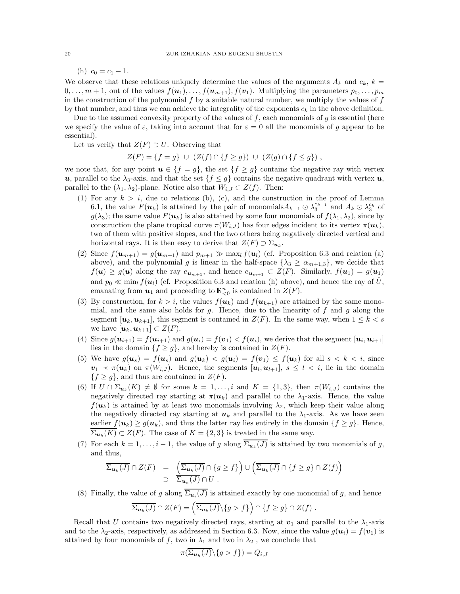(h)  $c_0 = c_1 - 1$ .

We observe that these relations uniquely determine the values of the arguments  $A_k$  and  $c_k$ ,  $k =$  $0, \ldots, m+1$ , out of the values  $f(\mathbf{u}_1), \ldots, f(\mathbf{u}_{m+1}), f(\mathbf{v}_1)$ . Multiplying the parameters  $p_0, \ldots, p_m$ in the construction of the polynomial  $f$  by a suitable natural number, we multiply the values of  $f$ by that number, and thus we can achieve the integrality of the exponents  $c_k$  in the above definition.

Due to the assumed convexity property of the values of f, each monomials of g is essential (here we specify the value of  $\varepsilon$ , taking into account that for  $\varepsilon = 0$  all the monomials of g appear to be essential).

Let us verify that  $Z(F) \supset U$ . Observing that

$$
Z(F) = \{ f = g \} \cup (Z(f) \cap \{ f \ge g \}) \cup (Z(g) \cap \{ f \le g \}),
$$

we note that, for any point  $u \in \{f = g\}$ , the set  $\{f \ge g\}$  contains the negative ray with vertex u, parallel to the  $\lambda_3$ -axis, and that the set  $\{f \leq g\}$  contains the negative quadrant with vertex u, parallel to the  $(\lambda_1, \lambda_2)$ -plane. Notice also that  $W_{i,J} \subset Z(f)$ . Then:

- (1) For any  $k > i$ , due to relations (b), (c), and the construction in the proof of Lemma 6.1, the value  $F(\mathbf{u}_k)$  is attained by the pair of monomials  $A_{k-1} \odot \lambda_3^{c_{k-1}}$  and  $A_k \odot \lambda_3^{c_k}$  of  $g(\lambda_3)$ ; the same value  $F(u_k)$  is also attained by some four monomials of  $f(\lambda_1, \lambda_2)$ , since by construction the plane tropical curve  $\pi(W_{i,J})$  has four edges incident to its vertex  $\pi(u_k)$ , two of them with positive slopes, and the two others being negatively directed vertical and horizontal rays. It is then easy to derive that  $Z(F) \supset \Sigma_{\mathbf{u}_k}$ .
- (2) Since  $f(\mathbf{u}_{m+1}) = g(\mathbf{u}_{m+1})$  and  $p_{m+1} \gg \max_l f(\mathbf{u}_l)$  (cf. Proposition 6.3 and relation (a) above), and the polynomial g is linear in the half-space  $\{\lambda_3 \geq \alpha_{m+1,3}\}\,$ , we decide that  $f(\mathbf{u}) \ge g(\mathbf{u})$  along the ray  $e_{\mathbf{u}_{m+1}}$ , and hence  $e_{\mathbf{u}_{m+1}} \subset Z(F)$ . Similarly,  $f(\mathbf{u}_1) = g(\mathbf{u}_1)$ and  $p_0 \ll \min_l f(u_l)$  (cf. Proposition 6.3 and relation (h) above), and hence the ray of  $\hat{U}$ , emanating from  $u_1$  and proceeding to  $\mathbb{R}^n_{\leq 0}$  is contained in  $Z(F)$ .
- (3) By construction, for  $k > i$ , the values  $f(u_k)$  and  $f(u_{k+1})$  are attained by the same monomial, and the same also holds for  $g$ . Hence, due to the linearity of  $f$  and  $g$  along the segment  $[u_k, u_{k+1}]$ , this segment is contained in  $Z(F)$ . In the same way, when  $1 \leq k < s$ we have  $[\boldsymbol{u}_k, \boldsymbol{u}_{k+1}] \subset Z(F)$ .
- (4) Since  $g(\mathbf{u}_{i+1}) = f(\mathbf{u}_{i+1})$  and  $g(\mathbf{u}_i) = f(\mathbf{v}_1) < f(\mathbf{u}_i)$ , we derive that the segment  $[\mathbf{u}_i, \mathbf{u}_{i+1}]$ lies in the domain  ${f \ge g}$ , and hereby is contained in  $Z(F)$ .
- (5) We have  $g(u_s) = f(u_s)$  and  $g(u_k) < g(u_i) = f(v_1) \leq f(u_k)$  for all  $s < k < i$ , since  $v_1 \prec \pi(u_k)$  on  $\pi(W_{i,J})$ . Hence, the segments  $[u_l, u_{l+1}], s \leq l \leq i$ , lie in the domain  ${f \ge g}$ , and thus are contained in  $Z(F)$ .
- (6) If  $U \cap \Sigma_{u_k}(K) \neq \emptyset$  for some  $k = 1, \ldots, i$  and  $K = \{1,3\}$ , then  $\pi(W_{i,J})$  contains the negatively directed ray starting at  $\pi(\mathbf{u}_k)$  and parallel to the  $\lambda_1$ -axis. Hence, the value  $f(\mathbf{u}_k)$  is attained by at least two monomials involving  $\lambda_2$ , which keep their value along the negatively directed ray starting at  $u_k$  and parallel to the  $\lambda_1$ -axis. As we have seen earlier  $f(\mathbf{u}_k) \geq g(\mathbf{u}_k)$ , and thus the latter ray lies entirely in the domain  $\{f \geq g\}$ . Hence,  $\Sigma_{\mathbf{u}_k}(K) \subset Z(F)$ . The case of  $K = \{2,3\}$  is treated in the same way.
- (7) For each  $k = 1, \ldots, i 1$ , the value of g along  $\Sigma_{u_k}(J)$  is attained by two monomials of g, and thus,

$$
\overline{\Sigma_{\mathbf{u}_k}(J)} \cap Z(F) = \left( \overline{\Sigma_{\mathbf{u}_k}(J)} \cap \{ g \ge f \} \right) \cup \left( \overline{\Sigma_{\mathbf{u}_k}(J)} \cap \{ f \ge g \} \cap Z(f) \right)
$$
  

$$
\supset \overline{\Sigma_{\mathbf{u}_k}(J)} \cap U .
$$

(8) Finally, the value of g along  $\Sigma_{\mathbf{u}_i}(J)$  is attained exactly by one monomial of g, and hence

$$
\overline{\Sigma_{\mathbf{u}_k}(J)} \cap Z(F) = \left(\overline{\Sigma_{\mathbf{u}_k}(J)} \setminus \{g > f\}\right) \cap \{f \ge g\} \cap Z(f) .
$$

Recall that U contains two negatively directed rays, starting at  $v_1$  and parallel to the  $\lambda_1$ -axis and to the  $\lambda_2$ -axis, respectively, as addressed in Section 6.3. Now, since the value  $g(u_i) = f(v_1)$  is attained by four monomials of f, two in  $\lambda_1$  and two in  $\lambda_2$ , we conclude that

$$
\pi(\Sigma_{\mathbf{u}_k}(J)\backslash\{g>f\}) = Q_{i,J}
$$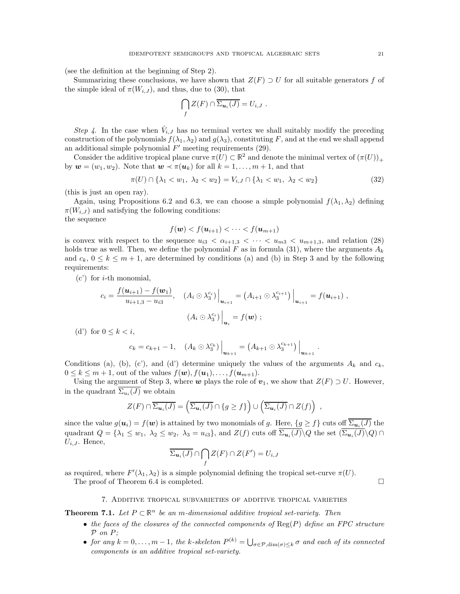(see the definition at the beginning of Step 2).

Summarizing these conclusions, we have shown that  $Z(F) \supset U$  for all suitable generators f of the simple ideal of  $\pi(W_{i,J})$ , and thus, due to (30), that

$$
\bigcap_{f} Z(F) \cap \overline{\Sigma_{\mathbf{u}_i}(J)} = U_{i,J} .
$$

Step 4. In the case when  $\hat{V}_{i,J}$  has no terminal vertex we shall suitably modify the preceding construction of the polynomials  $f(\lambda_1, \lambda_2)$  and  $g(\lambda_3)$ , constituting F, and at the end we shall append an additional simple polynomial  $F'$  meeting requirements  $(29)$ .

Consider the additive tropical plane curve  $\pi(U) \subset \mathbb{R}^2$  and denote the minimal vertex of  $(\pi(U))_+$ by  $w = (w_1, w_2)$ . Note that  $w \prec \pi(u_k)$  for all  $k = 1, \ldots, m + 1$ , and that

$$
\pi(U) \cap \{\lambda_1 < w_1, \ \lambda_2 < w_2\} = V_{i,J} \cap \{\lambda_1 < w_1, \ \lambda_2 < w_2\} \tag{32}
$$

(this is just an open ray).

Again, using Propositions 6.2 and 6.3, we can choose a simple polynomial  $f(\lambda_1, \lambda_2)$  defining  $\pi(W_{i,J})$  and satisfying the following conditions: the sequence

$$
f(\boldsymbol{w}) < f(\boldsymbol{u}_{i+1}) < \cdots < f(\boldsymbol{u}_{m+1})
$$

is convex with respect to the sequence  $u_{i3} < \alpha_{i+1,3} < \cdots < u_{m3} < u_{m+1,3}$ , and relation (28) holds true as well. Then, we define the polynomial F as in formula (31), where the arguments  $A_k$ and  $c_k$ ,  $0 \leq k \leq m+1$ , are determined by conditions (a) and (b) in Step 3 and by the following requirements:

 $(c')$  for *i*-th monomial,

$$
c_i = \frac{f(\mathbf{u}_{i+1}) - f(\mathbf{w}_1)}{u_{i+1,3} - u_{i3}}, \quad (A_i \odot \lambda_3^{c_i}) \Big|_{\mathbf{u}_{i+1}} = (A_{i+1} \odot \lambda_3^{c_{i+1}}) \Big|_{\mathbf{u}_{i+1}} = f(\mathbf{u}_{i+1}),
$$

$$
(A_i \odot \lambda_3^{c_i}) \Big|_{\mathbf{u}_i} = f(\mathbf{w}) ;
$$

(d') for  $0 \leq k \leq i$ ,

$$
c_k = c_{k+1} - 1, \quad (A_k \odot \lambda_3^{c_k}) \Big|_{\bm{u}_{k+1}} = (A_{k+1} \odot \lambda_3^{c_{k+1}}) \Big|_{\bm{u}_{k+1}}
$$

Conditions (a), (b), (c'), and (d') determine uniquely the values of the arguments  $A_k$  and  $c_k$ ,  $0 \leq k \leq m+1$ , out of the values  $f(\boldsymbol{w}), f(\boldsymbol{u}_1), \ldots, f(\boldsymbol{u}_{m+1}).$ 

Using the argument of Step 3, where w plays the role of  $v_1$ , we show that  $Z(F) \supset U$ . However, in the quadrant  $\Sigma_{u_i}(J)$  we obtain

$$
Z(F) \cap \overline{\Sigma_{\mathbf{u}_i}(J)} = \left(\overline{\Sigma_{\mathbf{u}_i}(J)} \cap \{g \geq f\}\right) \cup \left(\overline{\Sigma_{\mathbf{u}_i}(J)} \cap Z(f)\right) ,
$$

since the value  $g(u_i) = f(w)$  is attained by two monomials of g. Here,  $\{g \ge f\}$  cuts off  $\overline{\Sigma_{\bm{u}_i}(J)}$  the quadrant  $Q = \{\lambda_1 \leq w_1, \lambda_2 \leq w_2, \lambda_3 = u_{i3}\}\$ , and  $Z(f)$  cuts off  $\Sigma_{\mathbf{u}_i}(J) \setminus Q$  the set  $(\Sigma_{\mathbf{u}_i}(J) \setminus Q) \cap$  $U_{i,J}$ . Hence,

$$
\overline{\Sigma_{\mathbf{u}_i}(J)} \cap \bigcap_f Z(F) \cap Z(F') = U_{i,J}
$$

as required, where  $F'(\lambda_1, \lambda_2)$  is a simple polynomial defining the tropical set-curve  $\pi(U)$ .

The proof of Theorem 6.4 is completed.

.

## 7. Additive tropical subvarieties of additive tropical varieties

**Theorem 7.1.** Let  $P \subset \mathbb{R}^n$  be an m-dimensional additive tropical set-variety. Then

- the faces of the closures of the connected components of  $\text{Reg}(P)$  define an FPC structure P on P;
- for any  $k = 0, \ldots, m-1$ , the k-skeleton  $P^{(k)} = \bigcup_{\sigma \in \mathcal{P}, \dim(\sigma) \leq k} \sigma$  and each of its connected components is an additive tropical set-variety.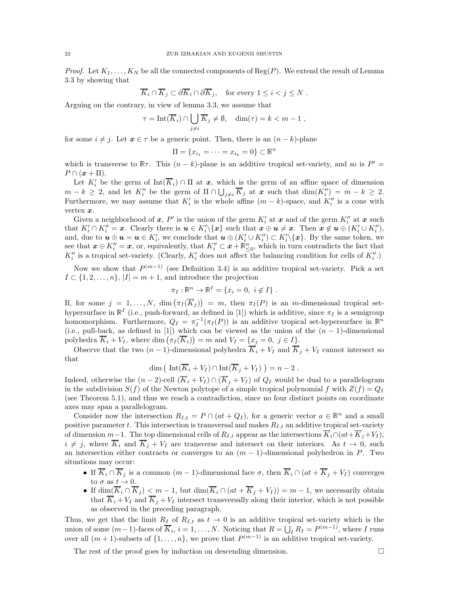*Proof.* Let  $K_1, \ldots, K_N$  be all the connected components of Reg(P). We extend the result of Lemma 3.3 by showing that

$$
\overline{K}_i \cap \overline{K}_j \subset \partial \overline{K}_i \cap \partial \overline{K}_j, \quad \text{for every } 1 \leq i < j \leq N \ .
$$

Arguing on the contrary, in view of lemma 3.3, we assume that

$$
\tau = \text{Int}(\overline{K}_i) \cap \bigcup_{j \neq i} \overline{K}_j \neq \emptyset, \quad \dim(\tau) = k < m - 1,
$$

for some  $i \neq j$ . Let  $x \in \tau$  be a generic point. Then, there is an  $(n - k)$ -plane

$$
\Pi = \{x_{i_1} = \dots = x_{i_k} = 0\} \subset \mathbb{R}^n
$$

which is transverse to  $\mathbb{R}\tau$ . This  $(n-k)$ -plane is an additive tropical set-variety, and so is  $P' =$  $P \cap (x + \Pi).$ 

Let  $K_i'$  be the germ of  $\text{Int}(\overline{K}_i) \cap \Pi$  at  $x$ , which is the germ of an affine space of dimension  $m-k \geq 2$ , and let  $K''_i$  be the germ of  $\Pi \cap \bigcup_{j \neq i} \overline{K}_j$  at  $x$  such that  $\dim(K''_i) = m - k \geq 2$ . Furthermore, we may assume that  $K'_{i}$  is the whole affine  $(m - k)$ -space, and  $K''_{i}$  is a cone with vertex x.

Given a neighborhood of  $x$ ,  $P'$  is the union of the germ  $K'_{i}$  at  $x$  and of the germ  $K''_{i}$  at  $x$  such that  $K'_i \cap K''_i = \mathbf{x}$ . Clearly there is  $\mathbf{u} \in K'_i \setminus {\mathbf{x}}$  such that  $\mathbf{x} \oplus \mathbf{u} \neq \mathbf{x}$ . Then  $\mathbf{x} \notin \mathbf{u} \oplus (K'_i \cup K''_i)$ , and, due to  $u \oplus u = u \in K'_i$ , we conclude that  $u \oplus (K'_i \cup K''_i) \subset K'_i \setminus \{x\}$ . By the same token, we see that  $x \oplus K''_i = x$ , or, equivalently, that  $K''_i \subset x + \mathbb{R}^n_{\leq 0}$ , which in turn contradicts the fact that  $K''_i$  is a tropical set-variety. (Clearly,  $K'_i$  does not affect the balancing condition for cells of  $K''_i$ .)

Now we show that  $P^{(m-1)}$  (see Definition 3.4) is an additive tropical set-variety. Pick a set  $I \subset \{1, 2, \ldots, n\}, |I| = m + 1$ , and introduce the projection

$$
\pi_I : \mathbb{R}^n \to \mathbb{R}^I = \{x_i = 0, i \notin I\} .
$$

If, for some  $j = 1, ..., N$ ,  $\dim (\pi_I(\overline{K}_j)) = m$ , then  $\pi_I(P)$  is an *m*-dimensional tropical sethypersurface in  $\mathbb{R}^I$  (i.e., push-forward, as defined in [1]) which is additive, since  $\pi_I$  is a semigroup homomorphism. Furthermore,  $Q_I = \pi_I^{-1}(\pi_I(P))$  is an additive tropical set-hypersurface in  $\mathbb{R}^n$ (i.e., pull-back, as defined in [1]) which can be viewed as the union of the  $(n - 1)$ -dimensional polyhedra  $\overline{K}_i + V_I$ , where  $\dim (\overline{\pi}_I(\overline{K}_i)) = m$  and  $V_I = \{x_j = 0, j \in I\}.$ 

Observe that the two  $(n-1)$ -dimensional polyhedra  $\overline{K}_i + V_I$  and  $\overline{K}_j + V_I$  cannot intersect so that

$$
\dim\big(\operatorname{Int}(\overline{K}_i+V_I)\cap\operatorname{Int}(\overline{K}_j+V_I)\big)=n-2.
$$

Indeed, otherwise the  $(n-2)$ -cell  $(\overline{K}_i + V_I) \cap (\overline{K}_j + V_I)$  of  $Q_I$  would be dual to a parallelogram in the subdivision  $S(f)$  of the Newton polytope of a simple tropical polynomial f with  $Z(f) = Q_I$ (see Theorem 5.1), and thus we reach a contradiction, since no four distinct points on coordinate axes may span a parallelogram.

Consider now the intersection  $R_{I,t} = P \cap (at + Q_I)$ , for a generic vector  $a \in \mathbb{R}^n$  and a small positive parameter t. This intersection is transversal and makes  $R_{I,t}$  an additive tropical set-variety of dimension  $m-1$ . The top dimensional cells of  $R_{I,t}$  appear as the intersections  $\overline{K}_i \cap (at+\overline{K}_j+V_I)$ ,  $i \neq j$ , where  $\overline{K}_i$  and  $\overline{K}_j + V_I$  are transverse and intersect on their interiors. As  $t \to 0$ , such an intersection either contracts or converges to an  $(m - 1)$ -dimensional polyhedron in P. Two situations may occur:

- If  $\overline{K}_i \cap \overline{K}_j$  is a common  $(m-1)$ -dimensional face  $\sigma$ , then  $\overline{K}_i \cap (at + \overline{K}_j + V_I)$  converges to  $\sigma$  as  $t \to 0$ .
- If  $\dim(\overline{K}_i \cap \overline{K}_j) < m-1$ , but  $\dim(\overline{K}_i \cap (at + \overline{K}_j + V_I)) = m-1$ , we necessarily obtain that  $\overline{K}_i + V_I$  and  $\overline{K}_i + V_I$  intersect transversally along their interior, which is not possible as observed in the preceding paragraph.

Thus, we get that the limit  $R_I$  of  $R_{I,t}$  as  $t \to 0$  is an additive tropical set-variety which is the union of some  $(m-1)$ -faces of  $\overline{K}_i$ ,  $i = 1, ..., N$ . Noticing that  $R = \bigcup_I R_I = P^{(m-1)}$ , where I runs over all  $(m + 1)$ -subsets of  $\{1, \ldots, n\}$ , we prove that  $P^{(m-1)}$  is an additive tropical set-variety.

The rest of the proof goes by induction on descending dimension.